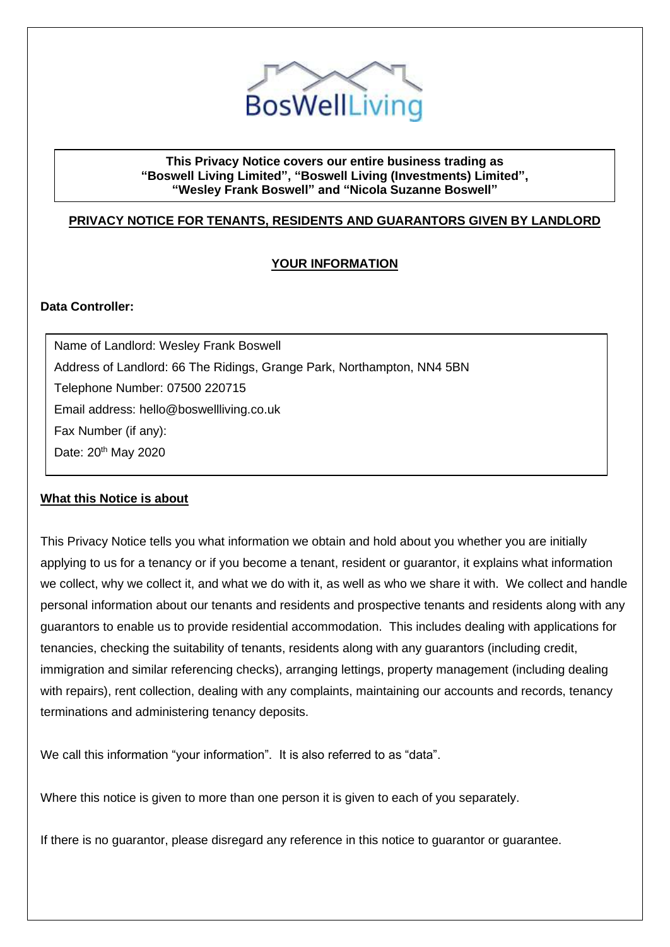

### **This Privacy Notice covers our entire business trading as "Boswell Living Limited", "Boswell Living (Investments) Limited", "Wesley Frank Boswell" and "Nicola Suzanne Boswell"**

# **PRIVACY NOTICE FOR TENANTS, RESIDENTS AND GUARANTORS GIVEN BY LANDLORD**

## **YOUR INFORMATION**

## **Data Controller:**

Name of Landlord: Wesley Frank Boswell Address of Landlord: 66 The Ridings, Grange Park, Northampton, NN4 5BN Telephone Number: 07500 220715 Email address: hello@boswellliving.co.uk Fax Number (if any): Date: 20<sup>th</sup> May 2020

### **What this Notice is about**

This Privacy Notice tells you what information we obtain and hold about you whether you are initially applying to us for a tenancy or if you become a tenant, resident or guarantor, it explains what information we collect, why we collect it, and what we do with it, as well as who we share it with. We collect and handle personal information about our tenants and residents and prospective tenants and residents along with any guarantors to enable us to provide residential accommodation. This includes dealing with applications for tenancies, checking the suitability of tenants, residents along with any guarantors (including credit, immigration and similar referencing checks), arranging lettings, property management (including dealing with repairs), rent collection, dealing with any complaints, maintaining our accounts and records, tenancy terminations and administering tenancy deposits.

We call this information "your information". It is also referred to as "data".

Where this notice is given to more than one person it is given to each of you separately.

If there is no guarantor, please disregard any reference in this notice to guarantor or guarantee.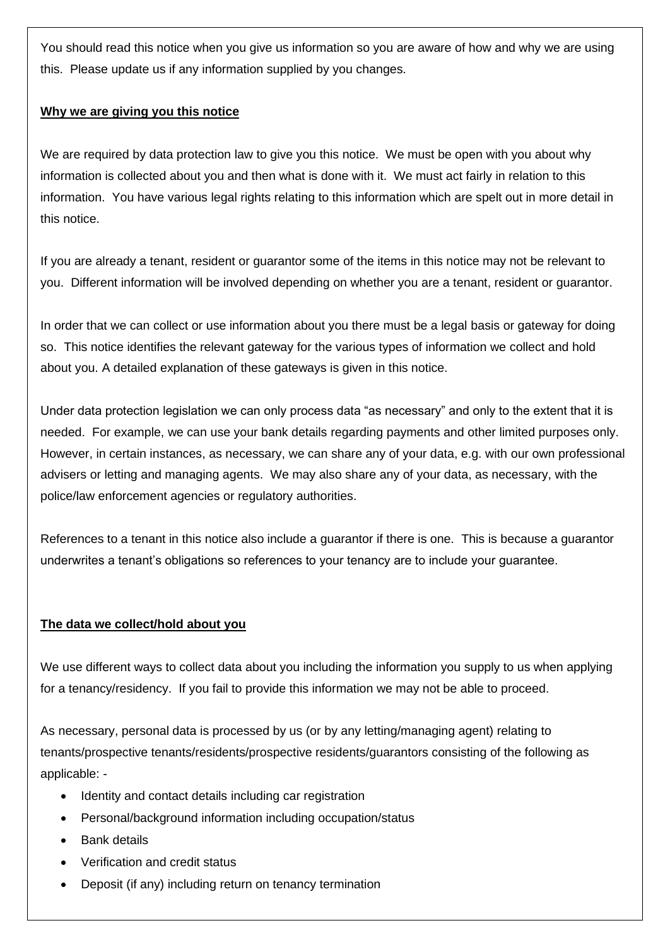You should read this notice when you give us information so you are aware of how and why we are using this. Please update us if any information supplied by you changes.

### **Why we are giving you this notice**

We are required by data protection law to give you this notice. We must be open with you about why information is collected about you and then what is done with it. We must act fairly in relation to this information. You have various legal rights relating to this information which are spelt out in more detail in this notice.

If you are already a tenant, resident or guarantor some of the items in this notice may not be relevant to you. Different information will be involved depending on whether you are a tenant, resident or guarantor.

In order that we can collect or use information about you there must be a legal basis or gateway for doing so. This notice identifies the relevant gateway for the various types of information we collect and hold about you. A detailed explanation of these gateways is given in this notice.

Under data protection legislation we can only process data "as necessary" and only to the extent that it is needed. For example, we can use your bank details regarding payments and other limited purposes only. However, in certain instances, as necessary, we can share any of your data, e.g. with our own professional advisers or letting and managing agents. We may also share any of your data, as necessary, with the police/law enforcement agencies or regulatory authorities.

References to a tenant in this notice also include a guarantor if there is one. This is because a guarantor underwrites a tenant's obligations so references to your tenancy are to include your guarantee.

## **The data we collect/hold about you**

We use different ways to collect data about you including the information you supply to us when applying for a tenancy/residency. If you fail to provide this information we may not be able to proceed.

As necessary, personal data is processed by us (or by any letting/managing agent) relating to tenants/prospective tenants/residents/prospective residents/guarantors consisting of the following as applicable: -

- Identity and contact details including car registration
- Personal/background information including occupation/status
- Bank details
- Verification and credit status
- Deposit (if any) including return on tenancy termination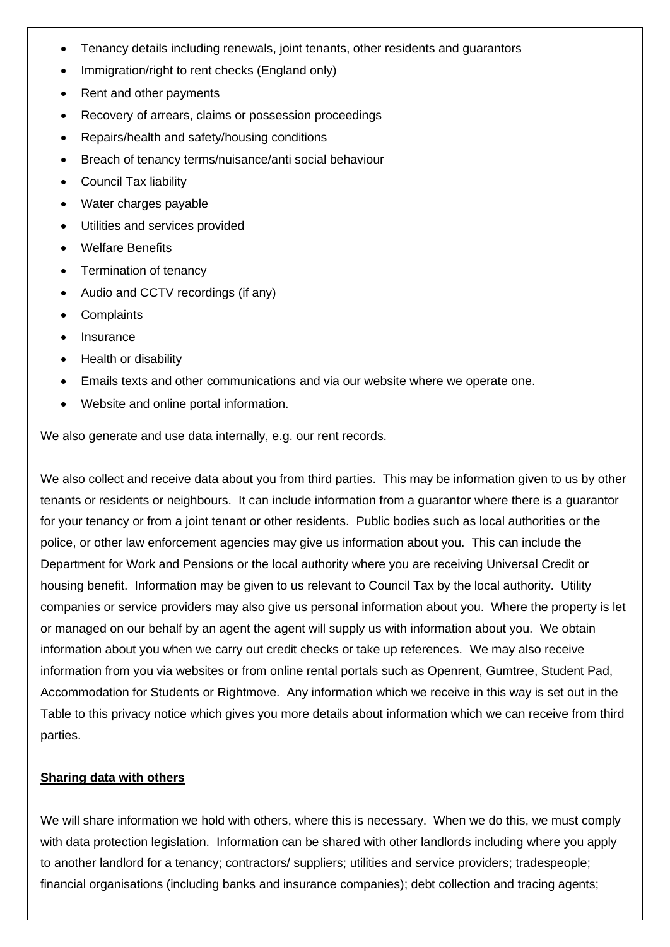- Tenancy details including renewals, joint tenants, other residents and guarantors
- Immigration/right to rent checks (England only)
- Rent and other payments
- Recovery of arrears, claims or possession proceedings
- Repairs/health and safety/housing conditions
- Breach of tenancy terms/nuisance/anti social behaviour
- Council Tax liability
- Water charges payable
- Utilities and services provided
- Welfare Benefits
- Termination of tenancy
- Audio and CCTV recordings (if any)
- **Complaints**
- **Insurance**
- Health or disability
- Emails texts and other communications and via our website where we operate one.
- Website and online portal information.

We also generate and use data internally, e.g. our rent records.

We also collect and receive data about you from third parties. This may be information given to us by other tenants or residents or neighbours. It can include information from a guarantor where there is a guarantor for your tenancy or from a joint tenant or other residents. Public bodies such as local authorities or the police, or other law enforcement agencies may give us information about you. This can include the Department for Work and Pensions or the local authority where you are receiving Universal Credit or housing benefit. Information may be given to us relevant to Council Tax by the local authority. Utility companies or service providers may also give us personal information about you. Where the property is let or managed on our behalf by an agent the agent will supply us with information about you. We obtain information about you when we carry out credit checks or take up references. We may also receive information from you via websites or from online rental portals such as Openrent, Gumtree, Student Pad, Accommodation for Students or Rightmove. Any information which we receive in this way is set out in the Table to this privacy notice which gives you more details about information which we can receive from third parties.

### **Sharing data with others**

We will share information we hold with others, where this is necessary. When we do this, we must comply with data protection legislation. Information can be shared with other landlords including where you apply to another landlord for a tenancy; contractors/ suppliers; utilities and service providers; tradespeople; financial organisations (including banks and insurance companies); debt collection and tracing agents;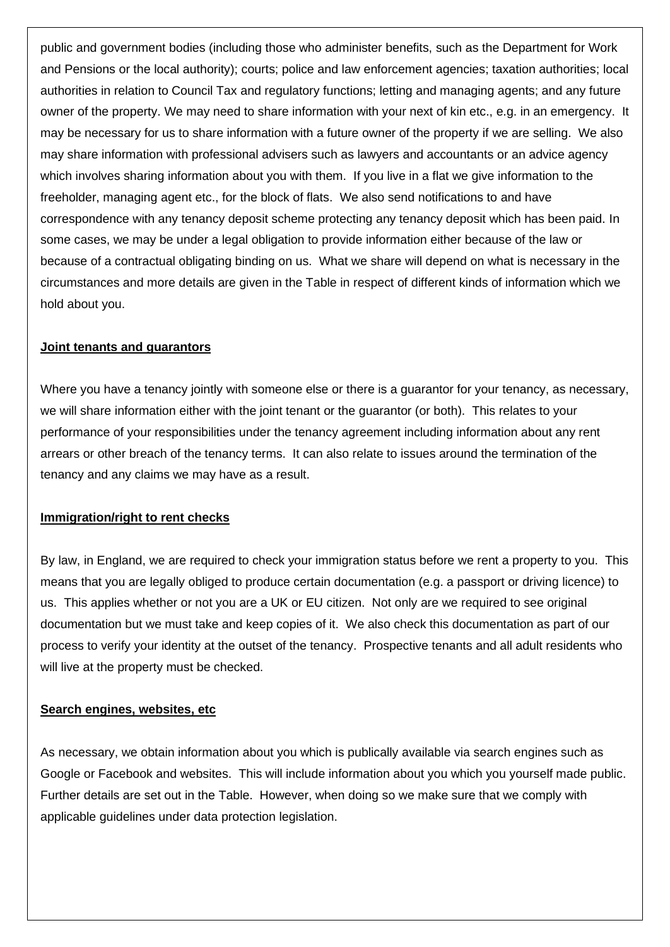public and government bodies (including those who administer benefits, such as the Department for Work and Pensions or the local authority); courts; police and law enforcement agencies; taxation authorities; local authorities in relation to Council Tax and regulatory functions; letting and managing agents; and any future owner of the property. We may need to share information with your next of kin etc., e.g. in an emergency. It may be necessary for us to share information with a future owner of the property if we are selling. We also may share information with professional advisers such as lawyers and accountants or an advice agency which involves sharing information about you with them. If you live in a flat we give information to the freeholder, managing agent etc., for the block of flats. We also send notifications to and have correspondence with any tenancy deposit scheme protecting any tenancy deposit which has been paid. In some cases, we may be under a legal obligation to provide information either because of the law or because of a contractual obligating binding on us. What we share will depend on what is necessary in the circumstances and more details are given in the Table in respect of different kinds of information which we hold about you.

### **Joint tenants and guarantors**

Where you have a tenancy jointly with someone else or there is a quarantor for your tenancy, as necessary, we will share information either with the joint tenant or the guarantor (or both). This relates to your performance of your responsibilities under the tenancy agreement including information about any rent arrears or other breach of the tenancy terms. It can also relate to issues around the termination of the tenancy and any claims we may have as a result.

### **Immigration/right to rent checks**

By law, in England, we are required to check your immigration status before we rent a property to you. This means that you are legally obliged to produce certain documentation (e.g. a passport or driving licence) to us. This applies whether or not you are a UK or EU citizen. Not only are we required to see original documentation but we must take and keep copies of it. We also check this documentation as part of our process to verify your identity at the outset of the tenancy. Prospective tenants and all adult residents who will live at the property must be checked.

### **Search engines, websites, etc**

As necessary, we obtain information about you which is publically available via search engines such as Google or Facebook and websites. This will include information about you which you yourself made public. Further details are set out in the Table. However, when doing so we make sure that we comply with applicable guidelines under data protection legislation.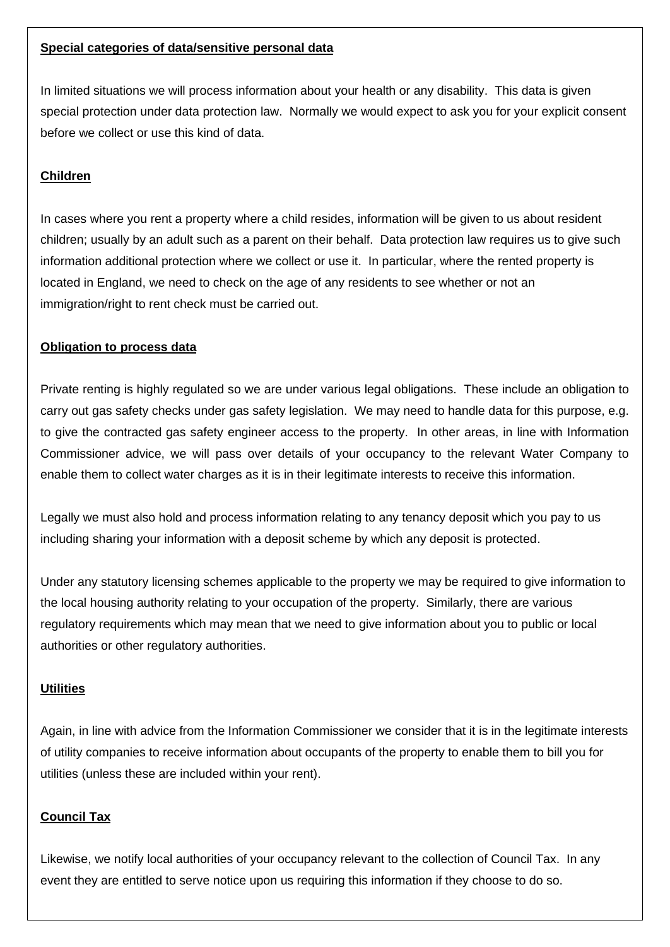### **Special categories of data/sensitive personal data**

In limited situations we will process information about your health or any disability. This data is given special protection under data protection law. Normally we would expect to ask you for your explicit consent before we collect or use this kind of data.

# **Children**

In cases where you rent a property where a child resides, information will be given to us about resident children; usually by an adult such as a parent on their behalf. Data protection law requires us to give such information additional protection where we collect or use it. In particular, where the rented property is located in England, we need to check on the age of any residents to see whether or not an immigration/right to rent check must be carried out.

## **Obligation to process data**

Private renting is highly regulated so we are under various legal obligations. These include an obligation to carry out gas safety checks under gas safety legislation. We may need to handle data for this purpose, e.g. to give the contracted gas safety engineer access to the property. In other areas, in line with Information Commissioner advice, we will pass over details of your occupancy to the relevant Water Company to enable them to collect water charges as it is in their legitimate interests to receive this information.

Legally we must also hold and process information relating to any tenancy deposit which you pay to us including sharing your information with a deposit scheme by which any deposit is protected.

Under any statutory licensing schemes applicable to the property we may be required to give information to the local housing authority relating to your occupation of the property. Similarly, there are various regulatory requirements which may mean that we need to give information about you to public or local authorities or other regulatory authorities.

## **Utilities**

Again, in line with advice from the Information Commissioner we consider that it is in the legitimate interests of utility companies to receive information about occupants of the property to enable them to bill you for utilities (unless these are included within your rent).

## **Council Tax**

Likewise, we notify local authorities of your occupancy relevant to the collection of Council Tax. In any event they are entitled to serve notice upon us requiring this information if they choose to do so.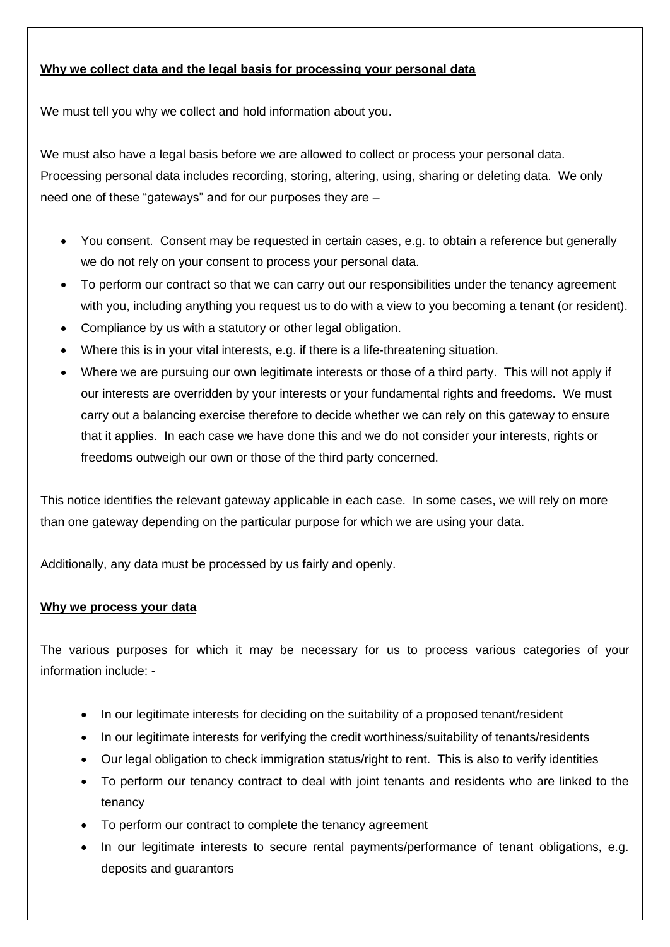# **Why we collect data and the legal basis for processing your personal data**

We must tell you why we collect and hold information about you.

We must also have a legal basis before we are allowed to collect or process your personal data. Processing personal data includes recording, storing, altering, using, sharing or deleting data. We only need one of these "gateways" and for our purposes they are –

- You consent. Consent may be requested in certain cases, e.g. to obtain a reference but generally we do not rely on your consent to process your personal data.
- To perform our contract so that we can carry out our responsibilities under the tenancy agreement with you, including anything you request us to do with a view to you becoming a tenant (or resident).
- Compliance by us with a statutory or other legal obligation.
- Where this is in your vital interests, e.g. if there is a life-threatening situation.
- Where we are pursuing our own legitimate interests or those of a third party. This will not apply if our interests are overridden by your interests or your fundamental rights and freedoms. We must carry out a balancing exercise therefore to decide whether we can rely on this gateway to ensure that it applies. In each case we have done this and we do not consider your interests, rights or freedoms outweigh our own or those of the third party concerned.

This notice identifies the relevant gateway applicable in each case. In some cases, we will rely on more than one gateway depending on the particular purpose for which we are using your data.

Additionally, any data must be processed by us fairly and openly.

## **Why we process your data**

The various purposes for which it may be necessary for us to process various categories of your information include: -

- In our legitimate interests for deciding on the suitability of a proposed tenant/resident
- In our legitimate interests for verifying the credit worthiness/suitability of tenants/residents
- Our legal obligation to check immigration status/right to rent. This is also to verify identities
- To perform our tenancy contract to deal with joint tenants and residents who are linked to the tenancy
- To perform our contract to complete the tenancy agreement
- In our legitimate interests to secure rental payments/performance of tenant obligations, e.g. deposits and guarantors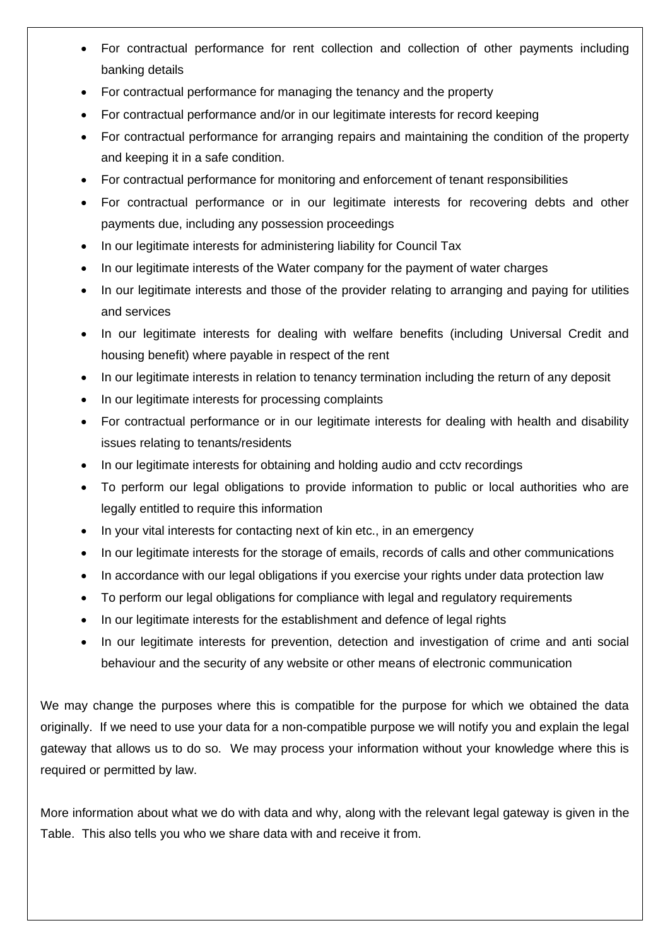- For contractual performance for rent collection and collection of other payments including banking details
- For contractual performance for managing the tenancy and the property
- For contractual performance and/or in our legitimate interests for record keeping
- For contractual performance for arranging repairs and maintaining the condition of the property and keeping it in a safe condition.
- For contractual performance for monitoring and enforcement of tenant responsibilities
- For contractual performance or in our legitimate interests for recovering debts and other payments due, including any possession proceedings
- In our legitimate interests for administering liability for Council Tax
- In our legitimate interests of the Water company for the payment of water charges
- In our legitimate interests and those of the provider relating to arranging and paying for utilities and services
- In our legitimate interests for dealing with welfare benefits (including Universal Credit and housing benefit) where payable in respect of the rent
- In our legitimate interests in relation to tenancy termination including the return of any deposit
- In our legitimate interests for processing complaints
- For contractual performance or in our legitimate interests for dealing with health and disability issues relating to tenants/residents
- In our legitimate interests for obtaining and holding audio and cctv recordings
- To perform our legal obligations to provide information to public or local authorities who are legally entitled to require this information
- In your vital interests for contacting next of kin etc., in an emergency
- In our legitimate interests for the storage of emails, records of calls and other communications
- In accordance with our legal obligations if you exercise your rights under data protection law
- To perform our legal obligations for compliance with legal and regulatory requirements
- In our legitimate interests for the establishment and defence of legal rights
- In our legitimate interests for prevention, detection and investigation of crime and anti social behaviour and the security of any website or other means of electronic communication

We may change the purposes where this is compatible for the purpose for which we obtained the data originally. If we need to use your data for a non-compatible purpose we will notify you and explain the legal gateway that allows us to do so. We may process your information without your knowledge where this is required or permitted by law.

More information about what we do with data and why, along with the relevant legal gateway is given in the Table. This also tells you who we share data with and receive it from.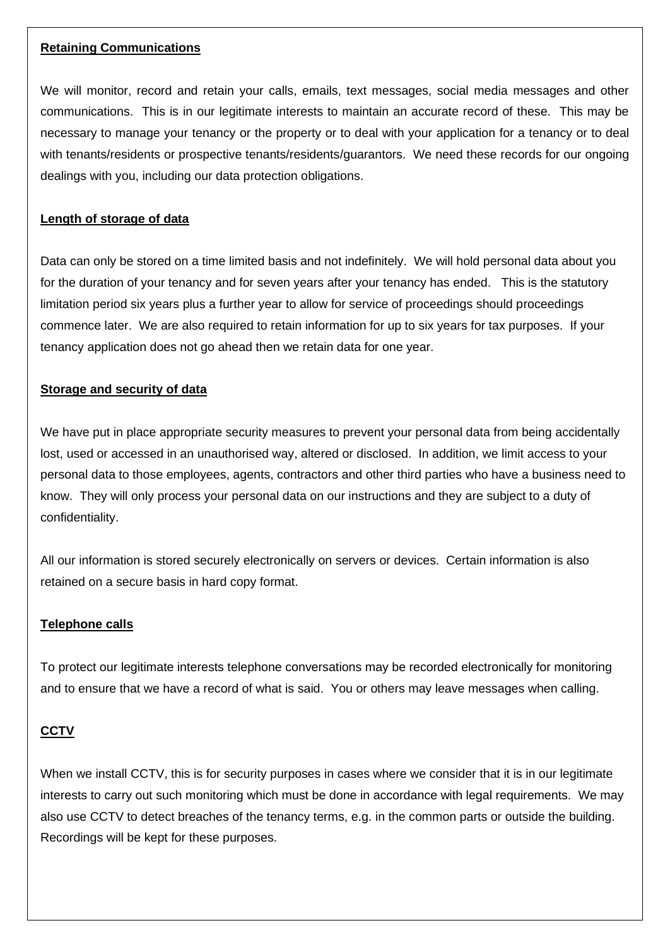### **Retaining Communications**

We will monitor, record and retain your calls, emails, text messages, social media messages and other communications. This is in our legitimate interests to maintain an accurate record of these. This may be necessary to manage your tenancy or the property or to deal with your application for a tenancy or to deal with tenants/residents or prospective tenants/residents/guarantors. We need these records for our ongoing dealings with you, including our data protection obligations.

### **Length of storage of data**

Data can only be stored on a time limited basis and not indefinitely. We will hold personal data about you for the duration of your tenancy and for seven years after your tenancy has ended. This is the statutory limitation period six years plus a further year to allow for service of proceedings should proceedings commence later. We are also required to retain information for up to six years for tax purposes. If your tenancy application does not go ahead then we retain data for one year.

### **Storage and security of data**

We have put in place appropriate security measures to prevent your personal data from being accidentally lost, used or accessed in an unauthorised way, altered or disclosed. In addition, we limit access to your personal data to those employees, agents, contractors and other third parties who have a business need to know. They will only process your personal data on our instructions and they are subject to a duty of confidentiality.

All our information is stored securely electronically on servers or devices. Certain information is also retained on a secure basis in hard copy format.

### **Telephone calls**

To protect our legitimate interests telephone conversations may be recorded electronically for monitoring and to ensure that we have a record of what is said. You or others may leave messages when calling.

### **CCTV**

When we install CCTV, this is for security purposes in cases where we consider that it is in our legitimate interests to carry out such monitoring which must be done in accordance with legal requirements. We may also use CCTV to detect breaches of the tenancy terms, e.g. in the common parts or outside the building. Recordings will be kept for these purposes.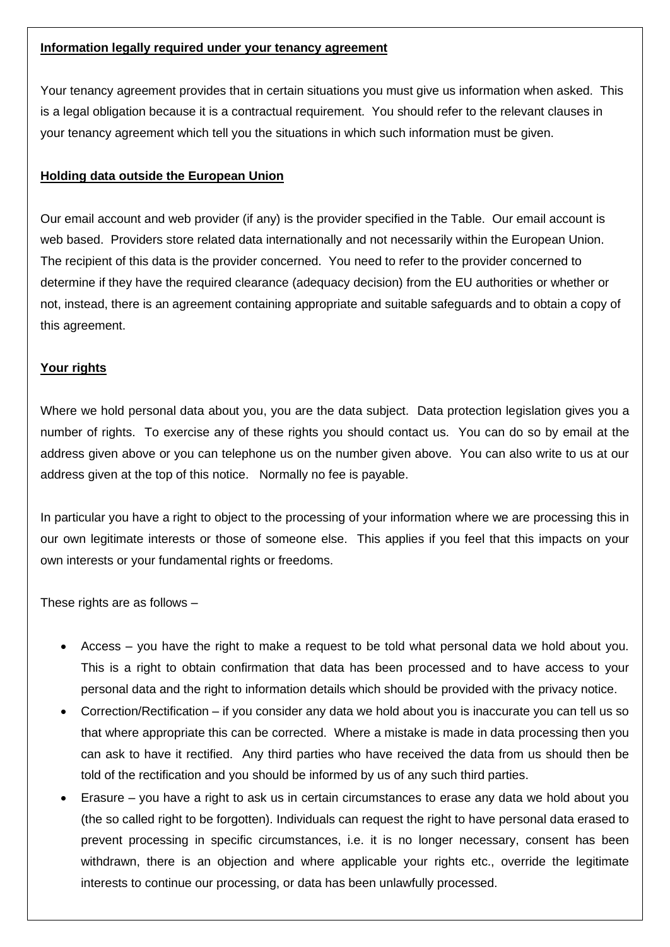### **Information legally required under your tenancy agreement**

Your tenancy agreement provides that in certain situations you must give us information when asked. This is a legal obligation because it is a contractual requirement. You should refer to the relevant clauses in your tenancy agreement which tell you the situations in which such information must be given.

### **Holding data outside the European Union**

Our email account and web provider (if any) is the provider specified in the Table. Our email account is web based. Providers store related data internationally and not necessarily within the European Union. The recipient of this data is the provider concerned. You need to refer to the provider concerned to determine if they have the required clearance (adequacy decision) from the EU authorities or whether or not, instead, there is an agreement containing appropriate and suitable safeguards and to obtain a copy of this agreement.

### **Your rights**

Where we hold personal data about you, you are the data subject. Data protection legislation gives you a number of rights. To exercise any of these rights you should contact us. You can do so by email at the address given above or you can telephone us on the number given above. You can also write to us at our address given at the top of this notice. Normally no fee is payable.

In particular you have a right to object to the processing of your information where we are processing this in our own legitimate interests or those of someone else. This applies if you feel that this impacts on your own interests or your fundamental rights or freedoms.

These rights are as follows –

- Access you have the right to make a request to be told what personal data we hold about you. This is a right to obtain confirmation that data has been processed and to have access to your personal data and the right to information details which should be provided with the privacy notice.
- Correction/Rectification if you consider any data we hold about you is inaccurate you can tell us so that where appropriate this can be corrected. Where a mistake is made in data processing then you can ask to have it rectified. Any third parties who have received the data from us should then be told of the rectification and you should be informed by us of any such third parties.
- Erasure you have a right to ask us in certain circumstances to erase any data we hold about you (the so called right to be forgotten). Individuals can request the right to have personal data erased to prevent processing in specific circumstances, i.e. it is no longer necessary, consent has been withdrawn, there is an objection and where applicable your rights etc., override the legitimate interests to continue our processing, or data has been unlawfully processed.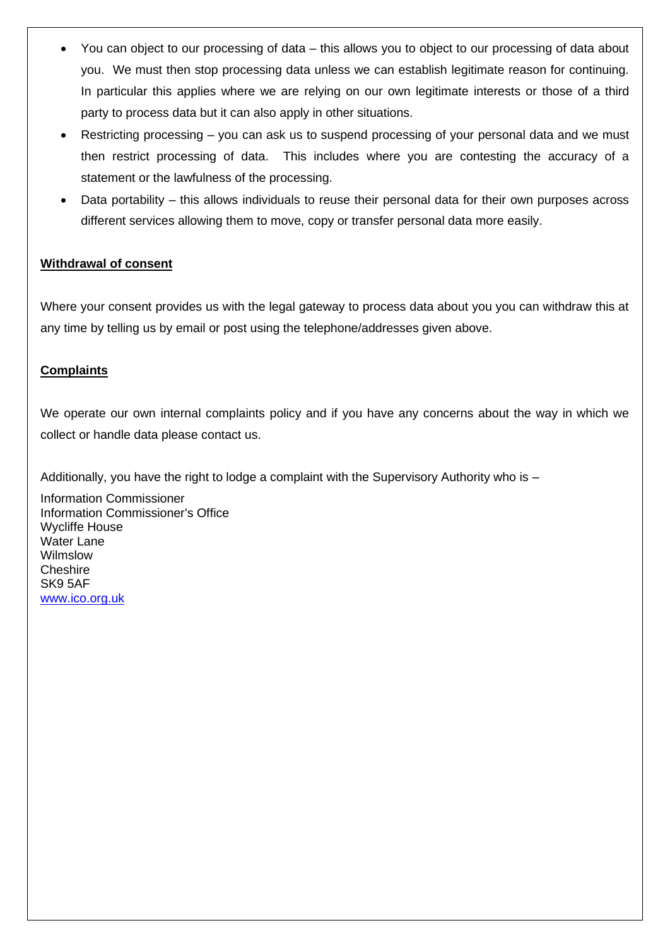- You can object to our processing of data this allows you to object to our processing of data about you. We must then stop processing data unless we can establish legitimate reason for continuing. In particular this applies where we are relying on our own legitimate interests or those of a third party to process data but it can also apply in other situations.
- Restricting processing you can ask us to suspend processing of your personal data and we must then restrict processing of data. This includes where you are contesting the accuracy of a statement or the lawfulness of the processing.
- Data portability this allows individuals to reuse their personal data for their own purposes across different services allowing them to move, copy or transfer personal data more easily.

## **Withdrawal of consent**

Where your consent provides us with the legal gateway to process data about you you can withdraw this at any time by telling us by email or post using the telephone/addresses given above.

## **Complaints**

We operate our own internal complaints policy and if you have any concerns about the way in which we collect or handle data please contact us.

Additionally, you have the right to lodge a complaint with the Supervisory Authority who is -

Information Commissioner Information Commissioner's Office Wycliffe House Water Lane Wilmslow **Cheshire** SK9 5AF [www.ico.org.uk](http://www.ico.org.uk/)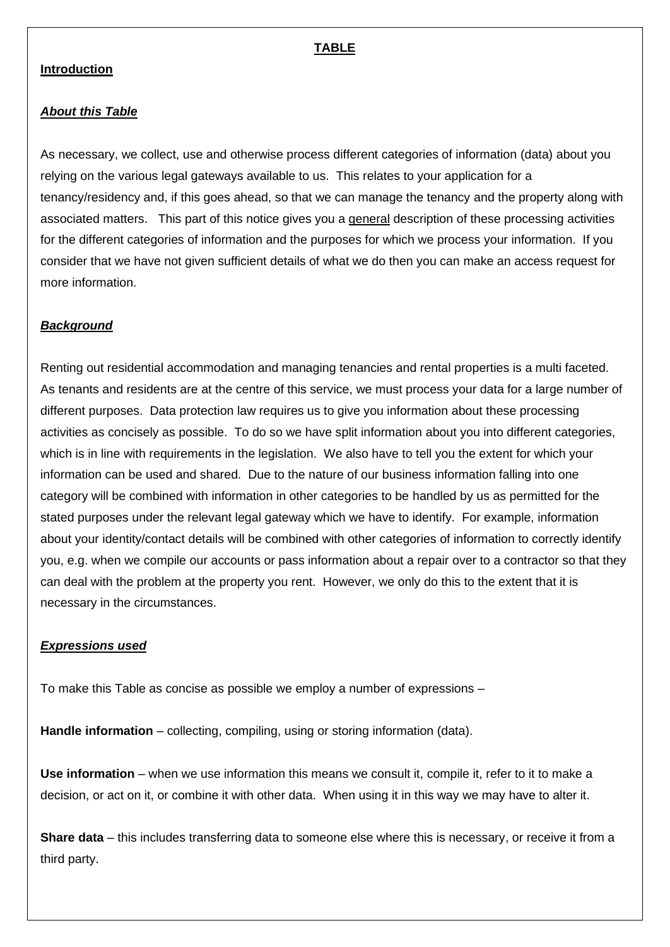### **Introduction**

### *About this Table*

As necessary, we collect, use and otherwise process different categories of information (data) about you relying on the various legal gateways available to us. This relates to your application for a tenancy/residency and, if this goes ahead, so that we can manage the tenancy and the property along with associated matters. This part of this notice gives you a general description of these processing activities for the different categories of information and the purposes for which we process your information. If you consider that we have not given sufficient details of what we do then you can make an access request for more information.

### *Background*

Renting out residential accommodation and managing tenancies and rental properties is a multi faceted. As tenants and residents are at the centre of this service, we must process your data for a large number of different purposes. Data protection law requires us to give you information about these processing activities as concisely as possible. To do so we have split information about you into different categories, which is in line with requirements in the legislation. We also have to tell you the extent for which your information can be used and shared. Due to the nature of our business information falling into one category will be combined with information in other categories to be handled by us as permitted for the stated purposes under the relevant legal gateway which we have to identify. For example, information about your identity/contact details will be combined with other categories of information to correctly identify you, e.g. when we compile our accounts or pass information about a repair over to a contractor so that they can deal with the problem at the property you rent. However, we only do this to the extent that it is necessary in the circumstances.

#### *Expressions used*

To make this Table as concise as possible we employ a number of expressions –

**Handle information** – collecting, compiling, using or storing information (data).

**Use information** – when we use information this means we consult it, compile it, refer to it to make a decision, or act on it, or combine it with other data. When using it in this way we may have to alter it.

**Share data** – this includes transferring data to someone else where this is necessary, or receive it from a third party.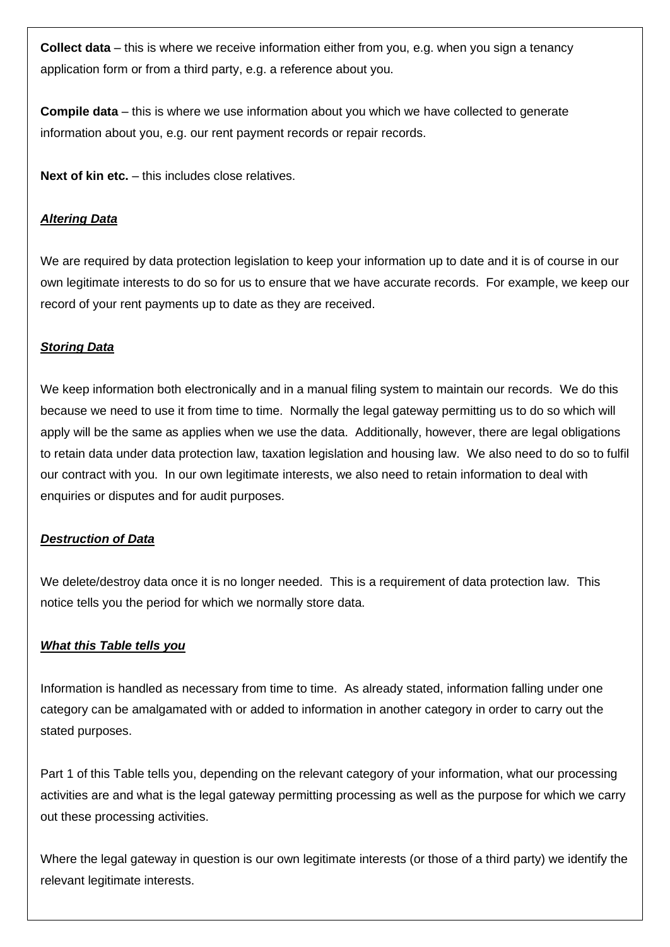**Collect data** – this is where we receive information either from you, e.g. when you sign a tenancy application form or from a third party, e.g. a reference about you.

**Compile data** – this is where we use information about you which we have collected to generate information about you, e.g. our rent payment records or repair records.

**Next of kin etc.** – this includes close relatives.

### *Altering Data*

We are required by data protection legislation to keep your information up to date and it is of course in our own legitimate interests to do so for us to ensure that we have accurate records. For example, we keep our record of your rent payments up to date as they are received.

### *Storing Data*

We keep information both electronically and in a manual filing system to maintain our records. We do this because we need to use it from time to time. Normally the legal gateway permitting us to do so which will apply will be the same as applies when we use the data. Additionally, however, there are legal obligations to retain data under data protection law, taxation legislation and housing law. We also need to do so to fulfil our contract with you. In our own legitimate interests, we also need to retain information to deal with enquiries or disputes and for audit purposes.

#### *Destruction of Data*

We delete/destroy data once it is no longer needed. This is a requirement of data protection law. This notice tells you the period for which we normally store data.

#### *What this Table tells you*

Information is handled as necessary from time to time. As already stated, information falling under one category can be amalgamated with or added to information in another category in order to carry out the stated purposes.

Part 1 of this Table tells you, depending on the relevant category of your information, what our processing activities are and what is the legal gateway permitting processing as well as the purpose for which we carry out these processing activities.

Where the legal gateway in question is our own legitimate interests (or those of a third party) we identify the relevant legitimate interests.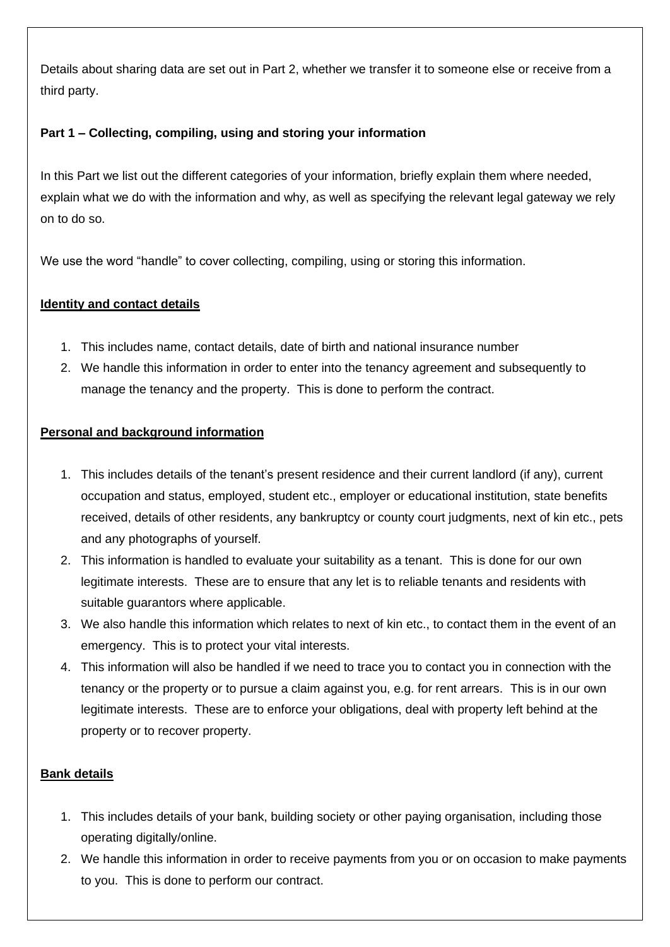Details about sharing data are set out in Part 2, whether we transfer it to someone else or receive from a third party.

# **Part 1 – Collecting, compiling, using and storing your information**

In this Part we list out the different categories of your information, briefly explain them where needed, explain what we do with the information and why, as well as specifying the relevant legal gateway we rely on to do so.

We use the word "handle" to cover collecting, compiling, using or storing this information.

## **Identity and contact details**

- 1. This includes name, contact details, date of birth and national insurance number
- 2. We handle this information in order to enter into the tenancy agreement and subsequently to manage the tenancy and the property. This is done to perform the contract.

# **Personal and background information**

- 1. This includes details of the tenant's present residence and their current landlord (if any), current occupation and status, employed, student etc., employer or educational institution, state benefits received, details of other residents, any bankruptcy or county court judgments, next of kin etc., pets and any photographs of yourself.
- 2. This information is handled to evaluate your suitability as a tenant. This is done for our own legitimate interests. These are to ensure that any let is to reliable tenants and residents with suitable guarantors where applicable.
- 3. We also handle this information which relates to next of kin etc., to contact them in the event of an emergency. This is to protect your vital interests.
- 4. This information will also be handled if we need to trace you to contact you in connection with the tenancy or the property or to pursue a claim against you, e.g. for rent arrears. This is in our own legitimate interests. These are to enforce your obligations, deal with property left behind at the property or to recover property.

## **Bank details**

- 1. This includes details of your bank, building society or other paying organisation, including those operating digitally/online.
- 2. We handle this information in order to receive payments from you or on occasion to make payments to you. This is done to perform our contract.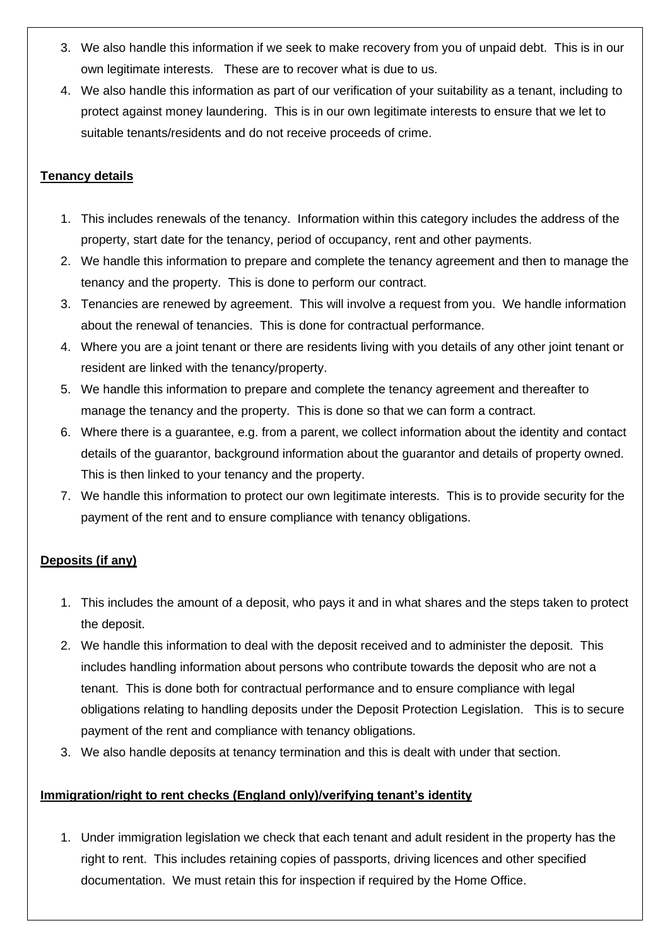- 3. We also handle this information if we seek to make recovery from you of unpaid debt. This is in our own legitimate interests. These are to recover what is due to us.
- 4. We also handle this information as part of our verification of your suitability as a tenant, including to protect against money laundering. This is in our own legitimate interests to ensure that we let to suitable tenants/residents and do not receive proceeds of crime.

# **Tenancy details**

- 1. This includes renewals of the tenancy. Information within this category includes the address of the property, start date for the tenancy, period of occupancy, rent and other payments.
- 2. We handle this information to prepare and complete the tenancy agreement and then to manage the tenancy and the property. This is done to perform our contract.
- 3. Tenancies are renewed by agreement. This will involve a request from you. We handle information about the renewal of tenancies. This is done for contractual performance.
- 4. Where you are a joint tenant or there are residents living with you details of any other joint tenant or resident are linked with the tenancy/property.
- 5. We handle this information to prepare and complete the tenancy agreement and thereafter to manage the tenancy and the property. This is done so that we can form a contract.
- 6. Where there is a guarantee, e.g. from a parent, we collect information about the identity and contact details of the guarantor, background information about the guarantor and details of property owned. This is then linked to your tenancy and the property.
- 7. We handle this information to protect our own legitimate interests. This is to provide security for the payment of the rent and to ensure compliance with tenancy obligations.

## **Deposits (if any)**

- 1. This includes the amount of a deposit, who pays it and in what shares and the steps taken to protect the deposit.
- 2. We handle this information to deal with the deposit received and to administer the deposit. This includes handling information about persons who contribute towards the deposit who are not a tenant. This is done both for contractual performance and to ensure compliance with legal obligations relating to handling deposits under the Deposit Protection Legislation. This is to secure payment of the rent and compliance with tenancy obligations.
- 3. We also handle deposits at tenancy termination and this is dealt with under that section.

## **Immigration/right to rent checks (England only)/verifying tenant's identity**

1. Under immigration legislation we check that each tenant and adult resident in the property has the right to rent. This includes retaining copies of passports, driving licences and other specified documentation. We must retain this for inspection if required by the Home Office.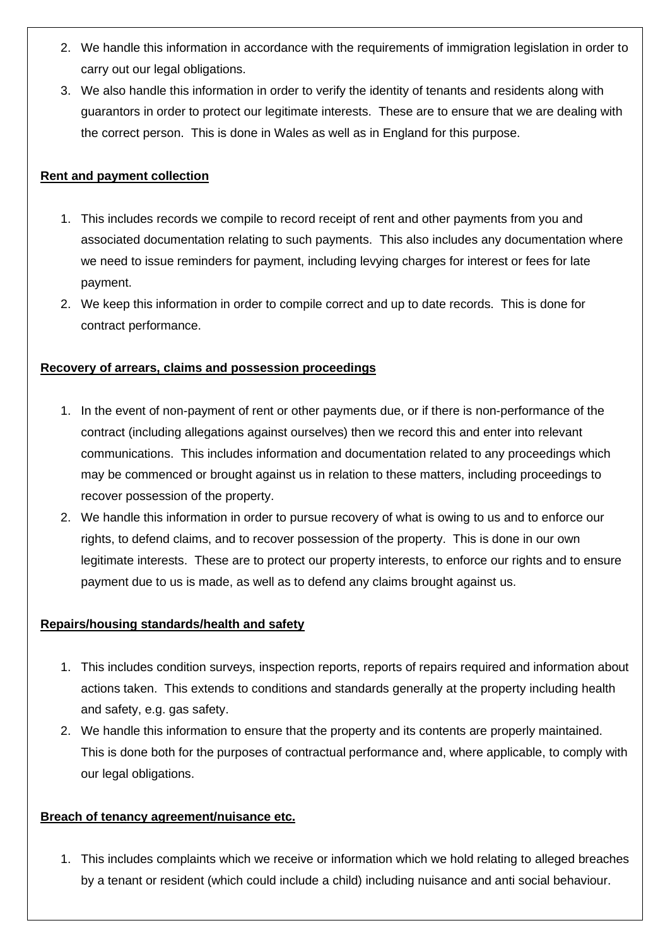- 2. We handle this information in accordance with the requirements of immigration legislation in order to carry out our legal obligations.
- 3. We also handle this information in order to verify the identity of tenants and residents along with guarantors in order to protect our legitimate interests. These are to ensure that we are dealing with the correct person. This is done in Wales as well as in England for this purpose.

## **Rent and payment collection**

- 1. This includes records we compile to record receipt of rent and other payments from you and associated documentation relating to such payments. This also includes any documentation where we need to issue reminders for payment, including levying charges for interest or fees for late payment.
- 2. We keep this information in order to compile correct and up to date records. This is done for contract performance.

## **Recovery of arrears, claims and possession proceedings**

- 1. In the event of non-payment of rent or other payments due, or if there is non-performance of the contract (including allegations against ourselves) then we record this and enter into relevant communications. This includes information and documentation related to any proceedings which may be commenced or brought against us in relation to these matters, including proceedings to recover possession of the property.
- 2. We handle this information in order to pursue recovery of what is owing to us and to enforce our rights, to defend claims, and to recover possession of the property. This is done in our own legitimate interests. These are to protect our property interests, to enforce our rights and to ensure payment due to us is made, as well as to defend any claims brought against us.

### **Repairs/housing standards/health and safety**

- 1. This includes condition surveys, inspection reports, reports of repairs required and information about actions taken. This extends to conditions and standards generally at the property including health and safety, e.g. gas safety.
- 2. We handle this information to ensure that the property and its contents are properly maintained. This is done both for the purposes of contractual performance and, where applicable, to comply with our legal obligations.

### **Breach of tenancy agreement/nuisance etc.**

1. This includes complaints which we receive or information which we hold relating to alleged breaches by a tenant or resident (which could include a child) including nuisance and anti social behaviour.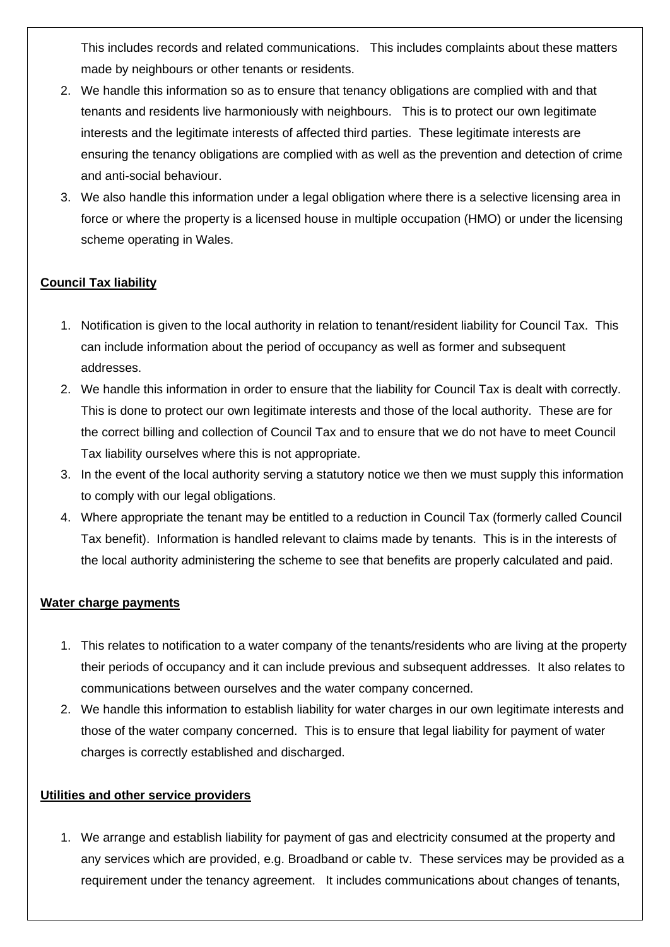This includes records and related communications. This includes complaints about these matters made by neighbours or other tenants or residents.

- 2. We handle this information so as to ensure that tenancy obligations are complied with and that tenants and residents live harmoniously with neighbours. This is to protect our own legitimate interests and the legitimate interests of affected third parties. These legitimate interests are ensuring the tenancy obligations are complied with as well as the prevention and detection of crime and anti-social behaviour.
- 3. We also handle this information under a legal obligation where there is a selective licensing area in force or where the property is a licensed house in multiple occupation (HMO) or under the licensing scheme operating in Wales.

## **Council Tax liability**

- 1. Notification is given to the local authority in relation to tenant/resident liability for Council Tax. This can include information about the period of occupancy as well as former and subsequent addresses.
- 2. We handle this information in order to ensure that the liability for Council Tax is dealt with correctly. This is done to protect our own legitimate interests and those of the local authority. These are for the correct billing and collection of Council Tax and to ensure that we do not have to meet Council Tax liability ourselves where this is not appropriate.
- 3. In the event of the local authority serving a statutory notice we then we must supply this information to comply with our legal obligations.
- 4. Where appropriate the tenant may be entitled to a reduction in Council Tax (formerly called Council Tax benefit). Information is handled relevant to claims made by tenants. This is in the interests of the local authority administering the scheme to see that benefits are properly calculated and paid.

### **Water charge payments**

- 1. This relates to notification to a water company of the tenants/residents who are living at the property their periods of occupancy and it can include previous and subsequent addresses. It also relates to communications between ourselves and the water company concerned.
- 2. We handle this information to establish liability for water charges in our own legitimate interests and those of the water company concerned. This is to ensure that legal liability for payment of water charges is correctly established and discharged.

## **Utilities and other service providers**

1. We arrange and establish liability for payment of gas and electricity consumed at the property and any services which are provided, e.g. Broadband or cable tv. These services may be provided as a requirement under the tenancy agreement. It includes communications about changes of tenants,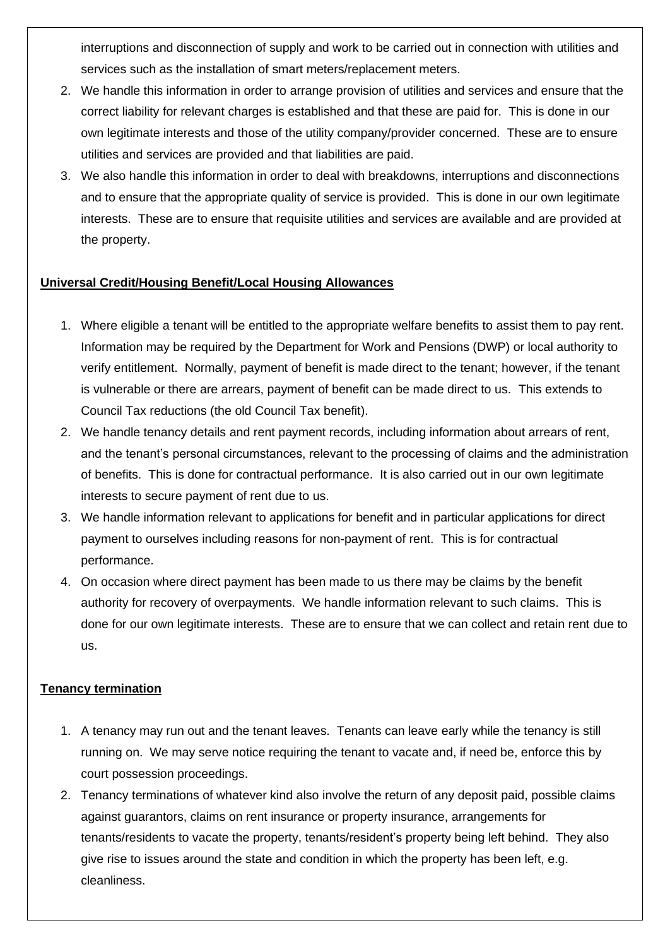interruptions and disconnection of supply and work to be carried out in connection with utilities and services such as the installation of smart meters/replacement meters.

- 2. We handle this information in order to arrange provision of utilities and services and ensure that the correct liability for relevant charges is established and that these are paid for. This is done in our own legitimate interests and those of the utility company/provider concerned. These are to ensure utilities and services are provided and that liabilities are paid.
- 3. We also handle this information in order to deal with breakdowns, interruptions and disconnections and to ensure that the appropriate quality of service is provided. This is done in our own legitimate interests. These are to ensure that requisite utilities and services are available and are provided at the property.

### **Universal Credit/Housing Benefit/Local Housing Allowances**

- 1. Where eligible a tenant will be entitled to the appropriate welfare benefits to assist them to pay rent. Information may be required by the Department for Work and Pensions (DWP) or local authority to verify entitlement. Normally, payment of benefit is made direct to the tenant; however, if the tenant is vulnerable or there are arrears, payment of benefit can be made direct to us. This extends to Council Tax reductions (the old Council Tax benefit).
- 2. We handle tenancy details and rent payment records, including information about arrears of rent, and the tenant's personal circumstances, relevant to the processing of claims and the administration of benefits. This is done for contractual performance. It is also carried out in our own legitimate interests to secure payment of rent due to us.
- 3. We handle information relevant to applications for benefit and in particular applications for direct payment to ourselves including reasons for non-payment of rent. This is for contractual performance.
- 4. On occasion where direct payment has been made to us there may be claims by the benefit authority for recovery of overpayments. We handle information relevant to such claims. This is done for our own legitimate interests. These are to ensure that we can collect and retain rent due to us.

## **Tenancy termination**

- 1. A tenancy may run out and the tenant leaves. Tenants can leave early while the tenancy is still running on. We may serve notice requiring the tenant to vacate and, if need be, enforce this by court possession proceedings.
- 2. Tenancy terminations of whatever kind also involve the return of any deposit paid, possible claims against guarantors, claims on rent insurance or property insurance, arrangements for tenants/residents to vacate the property, tenants/resident's property being left behind. They also give rise to issues around the state and condition in which the property has been left, e.g. cleanliness.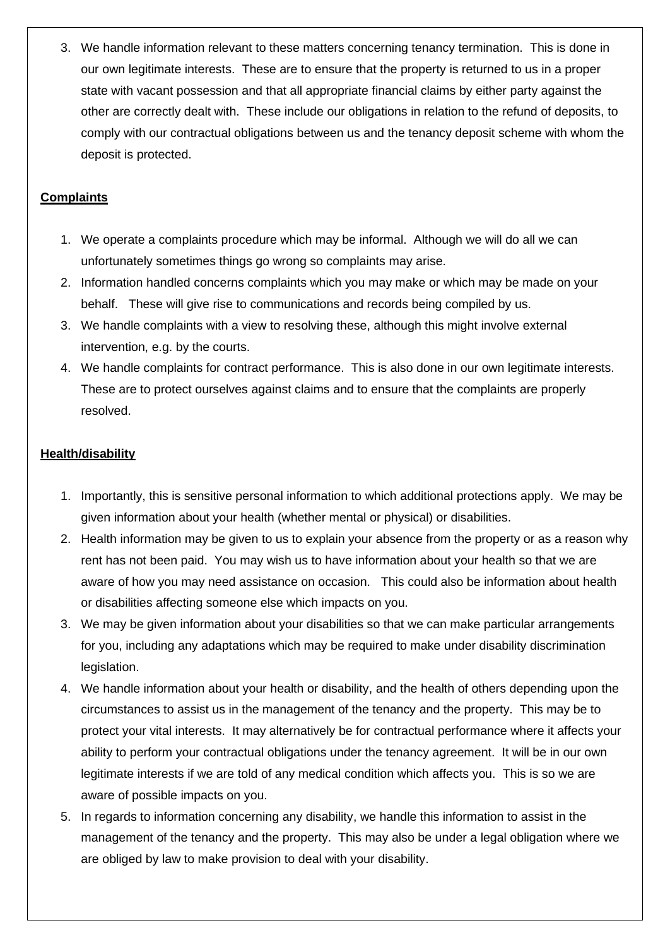3. We handle information relevant to these matters concerning tenancy termination. This is done in our own legitimate interests. These are to ensure that the property is returned to us in a proper state with vacant possession and that all appropriate financial claims by either party against the other are correctly dealt with. These include our obligations in relation to the refund of deposits, to comply with our contractual obligations between us and the tenancy deposit scheme with whom the deposit is protected.

# **Complaints**

- 1. We operate a complaints procedure which may be informal. Although we will do all we can unfortunately sometimes things go wrong so complaints may arise.
- 2. Information handled concerns complaints which you may make or which may be made on your behalf. These will give rise to communications and records being compiled by us.
- 3. We handle complaints with a view to resolving these, although this might involve external intervention, e.g. by the courts.
- 4. We handle complaints for contract performance. This is also done in our own legitimate interests. These are to protect ourselves against claims and to ensure that the complaints are properly resolved.

## **Health/disability**

- 1. Importantly, this is sensitive personal information to which additional protections apply. We may be given information about your health (whether mental or physical) or disabilities.
- 2. Health information may be given to us to explain your absence from the property or as a reason why rent has not been paid. You may wish us to have information about your health so that we are aware of how you may need assistance on occasion. This could also be information about health or disabilities affecting someone else which impacts on you.
- 3. We may be given information about your disabilities so that we can make particular arrangements for you, including any adaptations which may be required to make under disability discrimination legislation.
- 4. We handle information about your health or disability, and the health of others depending upon the circumstances to assist us in the management of the tenancy and the property. This may be to protect your vital interests. It may alternatively be for contractual performance where it affects your ability to perform your contractual obligations under the tenancy agreement. It will be in our own legitimate interests if we are told of any medical condition which affects you. This is so we are aware of possible impacts on you.
- 5. In regards to information concerning any disability, we handle this information to assist in the management of the tenancy and the property. This may also be under a legal obligation where we are obliged by law to make provision to deal with your disability.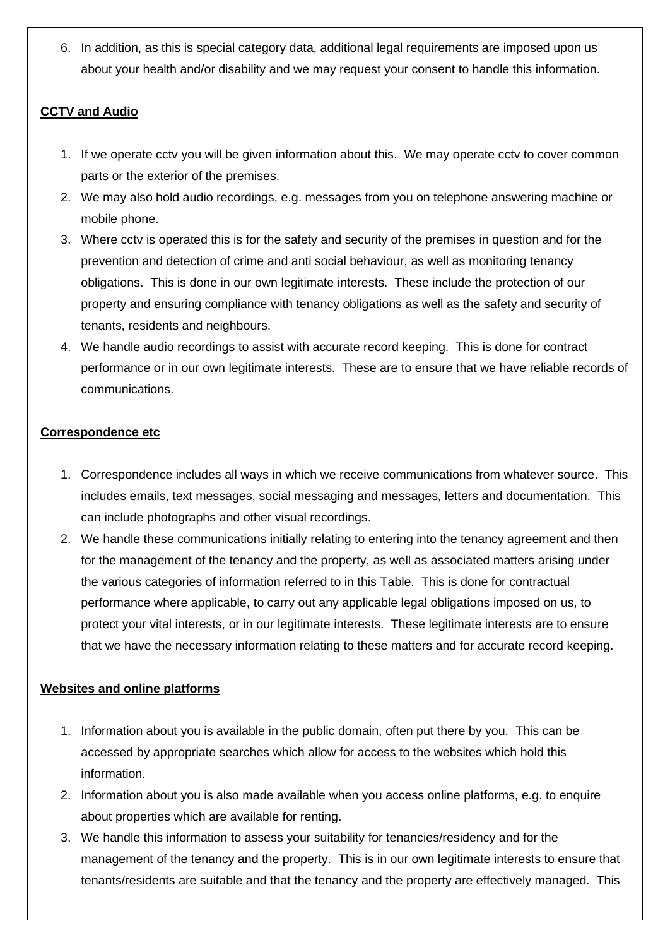6. In addition, as this is special category data, additional legal requirements are imposed upon us about your health and/or disability and we may request your consent to handle this information.

## **CCTV and Audio**

- 1. If we operate cctv you will be given information about this. We may operate cctv to cover common parts or the exterior of the premises.
- 2. We may also hold audio recordings, e.g. messages from you on telephone answering machine or mobile phone.
- 3. Where cctv is operated this is for the safety and security of the premises in question and for the prevention and detection of crime and anti social behaviour, as well as monitoring tenancy obligations. This is done in our own legitimate interests. These include the protection of our property and ensuring compliance with tenancy obligations as well as the safety and security of tenants, residents and neighbours.
- 4. We handle audio recordings to assist with accurate record keeping. This is done for contract performance or in our own legitimate interests. These are to ensure that we have reliable records of communications.

# **Correspondence etc**

- 1. Correspondence includes all ways in which we receive communications from whatever source. This includes emails, text messages, social messaging and messages, letters and documentation. This can include photographs and other visual recordings.
- 2. We handle these communications initially relating to entering into the tenancy agreement and then for the management of the tenancy and the property, as well as associated matters arising under the various categories of information referred to in this Table. This is done for contractual performance where applicable, to carry out any applicable legal obligations imposed on us, to protect your vital interests, or in our legitimate interests. These legitimate interests are to ensure that we have the necessary information relating to these matters and for accurate record keeping.

# **Websites and online platforms**

- 1. Information about you is available in the public domain, often put there by you. This can be accessed by appropriate searches which allow for access to the websites which hold this information.
- 2. Information about you is also made available when you access online platforms, e.g. to enquire about properties which are available for renting.
- 3. We handle this information to assess your suitability for tenancies/residency and for the management of the tenancy and the property. This is in our own legitimate interests to ensure that tenants/residents are suitable and that the tenancy and the property are effectively managed. This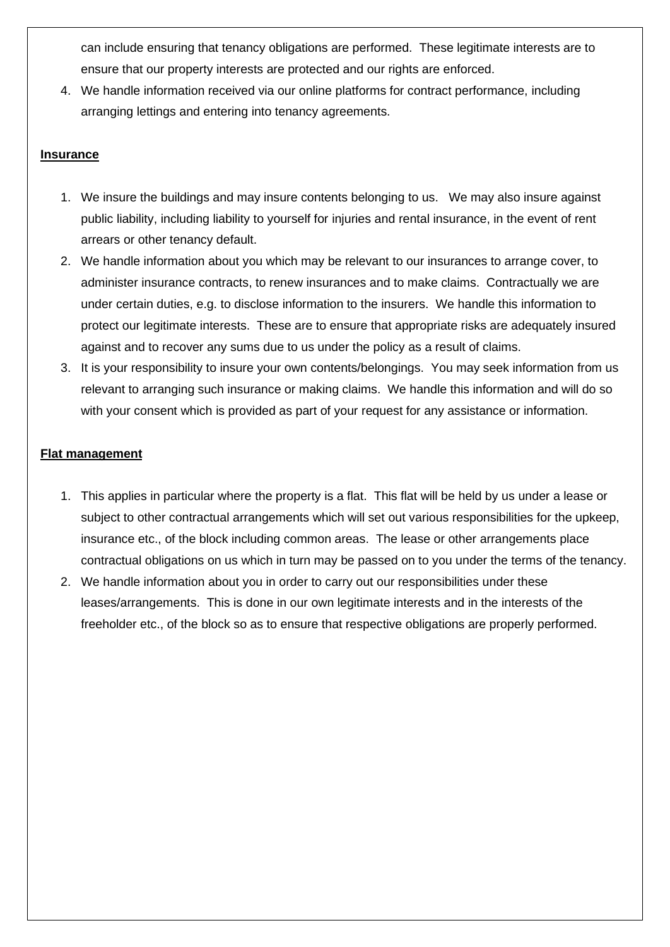can include ensuring that tenancy obligations are performed. These legitimate interests are to ensure that our property interests are protected and our rights are enforced.

4. We handle information received via our online platforms for contract performance, including arranging lettings and entering into tenancy agreements.

## **Insurance**

- 1. We insure the buildings and may insure contents belonging to us. We may also insure against public liability, including liability to yourself for injuries and rental insurance, in the event of rent arrears or other tenancy default.
- 2. We handle information about you which may be relevant to our insurances to arrange cover, to administer insurance contracts, to renew insurances and to make claims. Contractually we are under certain duties, e.g. to disclose information to the insurers. We handle this information to protect our legitimate interests. These are to ensure that appropriate risks are adequately insured against and to recover any sums due to us under the policy as a result of claims.
- 3. It is your responsibility to insure your own contents/belongings. You may seek information from us relevant to arranging such insurance or making claims. We handle this information and will do so with your consent which is provided as part of your request for any assistance or information.

### **Flat management**

- 1. This applies in particular where the property is a flat. This flat will be held by us under a lease or subject to other contractual arrangements which will set out various responsibilities for the upkeep, insurance etc., of the block including common areas. The lease or other arrangements place contractual obligations on us which in turn may be passed on to you under the terms of the tenancy.
- 2. We handle information about you in order to carry out our responsibilities under these leases/arrangements. This is done in our own legitimate interests and in the interests of the freeholder etc., of the block so as to ensure that respective obligations are properly performed.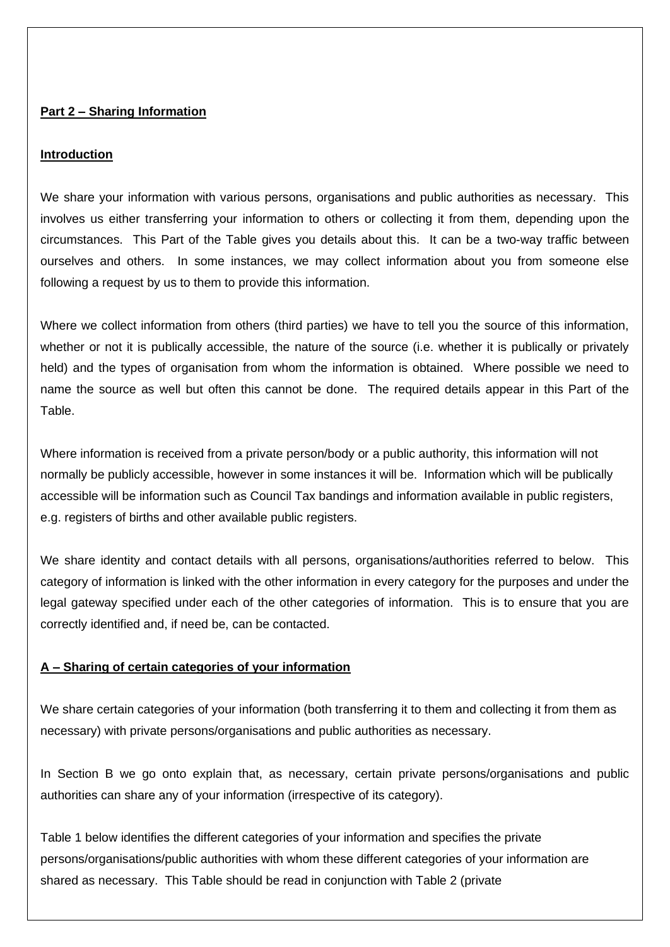### **Part 2 – Sharing Information**

### **Introduction**

We share your information with various persons, organisations and public authorities as necessary. This involves us either transferring your information to others or collecting it from them, depending upon the circumstances. This Part of the Table gives you details about this. It can be a two-way traffic between ourselves and others. In some instances, we may collect information about you from someone else following a request by us to them to provide this information.

Where we collect information from others (third parties) we have to tell you the source of this information, whether or not it is publically accessible, the nature of the source (i.e. whether it is publically or privately held) and the types of organisation from whom the information is obtained. Where possible we need to name the source as well but often this cannot be done. The required details appear in this Part of the Table.

Where information is received from a private person/body or a public authority, this information will not normally be publicly accessible, however in some instances it will be. Information which will be publically accessible will be information such as Council Tax bandings and information available in public registers, e.g. registers of births and other available public registers.

We share identity and contact details with all persons, organisations/authorities referred to below. This category of information is linked with the other information in every category for the purposes and under the legal gateway specified under each of the other categories of information. This is to ensure that you are correctly identified and, if need be, can be contacted.

## **A – Sharing of certain categories of your information**

We share certain categories of your information (both transferring it to them and collecting it from them as necessary) with private persons/organisations and public authorities as necessary.

In Section B we go onto explain that, as necessary, certain private persons/organisations and public authorities can share any of your information (irrespective of its category).

Table 1 below identifies the different categories of your information and specifies the private persons/organisations/public authorities with whom these different categories of your information are shared as necessary. This Table should be read in conjunction with Table 2 (private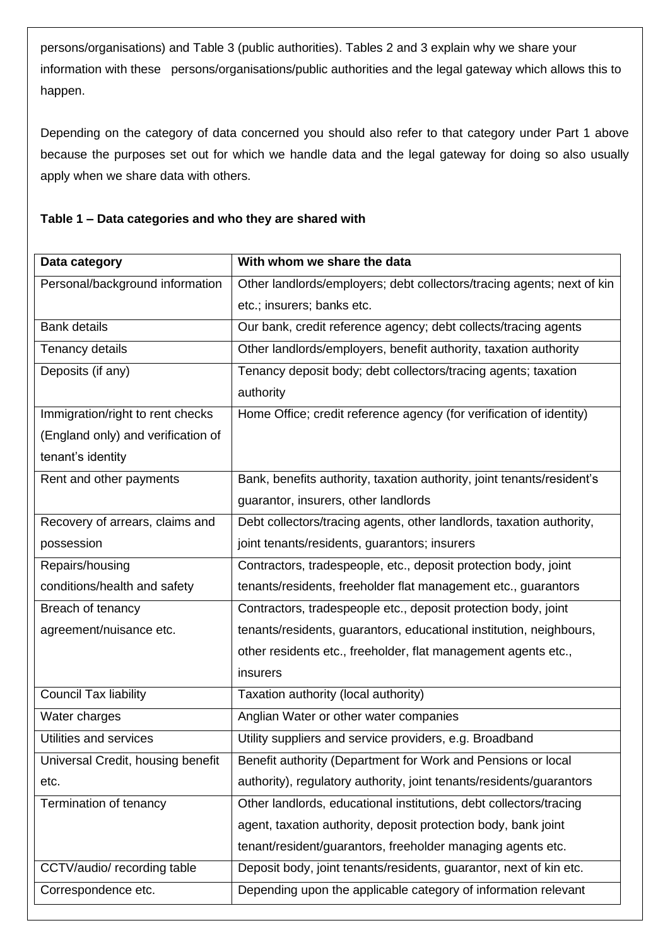persons/organisations) and Table 3 (public authorities). Tables 2 and 3 explain why we share your information with these persons/organisations/public authorities and the legal gateway which allows this to happen.

Depending on the category of data concerned you should also refer to that category under Part 1 above because the purposes set out for which we handle data and the legal gateway for doing so also usually apply when we share data with others.

## **Table 1 – Data categories and who they are shared with**

| Data category                      | With whom we share the data                                            |  |  |  |  |  |
|------------------------------------|------------------------------------------------------------------------|--|--|--|--|--|
| Personal/background information    | Other landlords/employers; debt collectors/tracing agents; next of kin |  |  |  |  |  |
|                                    | etc.; insurers; banks etc.                                             |  |  |  |  |  |
| <b>Bank details</b>                | Our bank, credit reference agency; debt collects/tracing agents        |  |  |  |  |  |
| Tenancy details                    | Other landlords/employers, benefit authority, taxation authority       |  |  |  |  |  |
| Deposits (if any)                  | Tenancy deposit body; debt collectors/tracing agents; taxation         |  |  |  |  |  |
|                                    | authority                                                              |  |  |  |  |  |
| Immigration/right to rent checks   | Home Office; credit reference agency (for verification of identity)    |  |  |  |  |  |
| (England only) and verification of |                                                                        |  |  |  |  |  |
| tenant's identity                  |                                                                        |  |  |  |  |  |
| Rent and other payments            | Bank, benefits authority, taxation authority, joint tenants/resident's |  |  |  |  |  |
|                                    | guarantor, insurers, other landlords                                   |  |  |  |  |  |
| Recovery of arrears, claims and    | Debt collectors/tracing agents, other landlords, taxation authority,   |  |  |  |  |  |
| possession                         | joint tenants/residents, guarantors; insurers                          |  |  |  |  |  |
| Repairs/housing                    | Contractors, tradespeople, etc., deposit protection body, joint        |  |  |  |  |  |
| conditions/health and safety       | tenants/residents, freeholder flat management etc., guarantors         |  |  |  |  |  |
| Breach of tenancy                  | Contractors, tradespeople etc., deposit protection body, joint         |  |  |  |  |  |
| agreement/nuisance etc.            | tenants/residents, guarantors, educational institution, neighbours,    |  |  |  |  |  |
|                                    | other residents etc., freeholder, flat management agents etc.,         |  |  |  |  |  |
|                                    | insurers                                                               |  |  |  |  |  |
| <b>Council Tax liability</b>       | Taxation authority (local authority)                                   |  |  |  |  |  |
| Water charges                      | Anglian Water or other water companies                                 |  |  |  |  |  |
| Utilities and services             | Utility suppliers and service providers, e.g. Broadband                |  |  |  |  |  |
| Universal Credit, housing benefit  | Benefit authority (Department for Work and Pensions or local           |  |  |  |  |  |
| etc.                               | authority), regulatory authority, joint tenants/residents/guarantors   |  |  |  |  |  |
| Termination of tenancy             | Other landlords, educational institutions, debt collectors/tracing     |  |  |  |  |  |
|                                    | agent, taxation authority, deposit protection body, bank joint         |  |  |  |  |  |
|                                    | tenant/resident/guarantors, freeholder managing agents etc.            |  |  |  |  |  |
| CCTV/audio/ recording table        | Deposit body, joint tenants/residents, guarantor, next of kin etc.     |  |  |  |  |  |
| Correspondence etc.                | Depending upon the applicable category of information relevant         |  |  |  |  |  |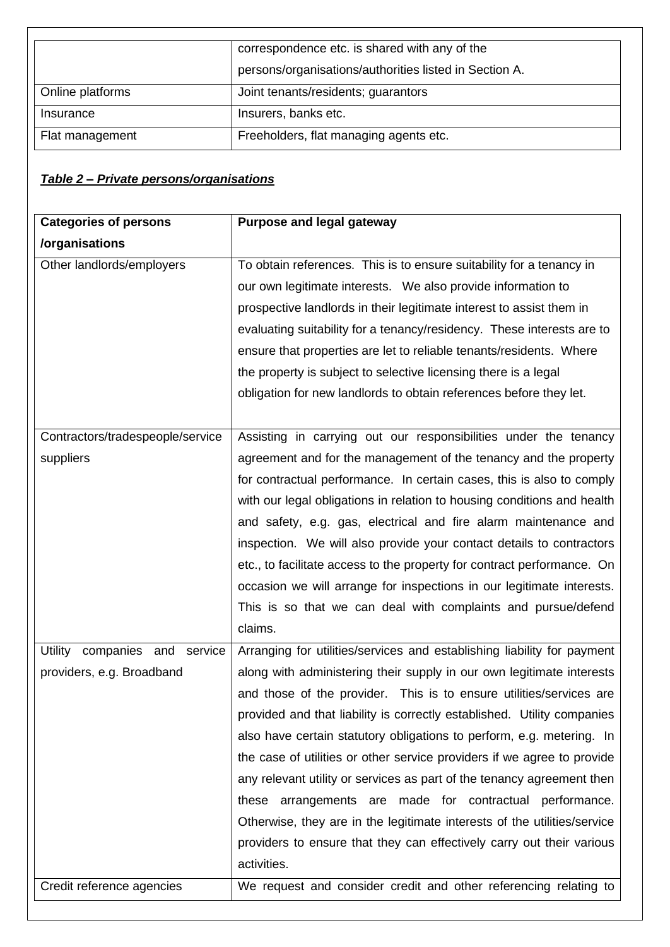|                  | correspondence etc. is shared with any of the<br>persons/organisations/authorities listed in Section A. |  |  |  |
|------------------|---------------------------------------------------------------------------------------------------------|--|--|--|
| Online platforms | Joint tenants/residents; guarantors                                                                     |  |  |  |
| Insurance        | Insurers, banks etc.                                                                                    |  |  |  |
| Flat management  | Freeholders, flat managing agents etc.                                                                  |  |  |  |

# *Table 2 – Private persons/organisations*

| <b>Categories of persons</b>     | Purpose and legal gateway                                                |
|----------------------------------|--------------------------------------------------------------------------|
| /organisations                   |                                                                          |
| Other landlords/employers        | To obtain references. This is to ensure suitability for a tenancy in     |
|                                  | our own legitimate interests. We also provide information to             |
|                                  | prospective landlords in their legitimate interest to assist them in     |
|                                  | evaluating suitability for a tenancy/residency. These interests are to   |
|                                  | ensure that properties are let to reliable tenants/residents. Where      |
|                                  | the property is subject to selective licensing there is a legal          |
|                                  | obligation for new landlords to obtain references before they let.       |
|                                  |                                                                          |
| Contractors/tradespeople/service | Assisting in carrying out our responsibilities under the tenancy         |
| suppliers                        | agreement and for the management of the tenancy and the property         |
|                                  | for contractual performance. In certain cases, this is also to comply    |
|                                  | with our legal obligations in relation to housing conditions and health  |
|                                  | and safety, e.g. gas, electrical and fire alarm maintenance and          |
|                                  | inspection. We will also provide your contact details to contractors     |
|                                  | etc., to facilitate access to the property for contract performance. On  |
|                                  | occasion we will arrange for inspections in our legitimate interests.    |
|                                  | This is so that we can deal with complaints and pursue/defend            |
|                                  | claims.                                                                  |
| Utility companies and service    | Arranging for utilities/services and establishing liability for payment  |
| providers, e.g. Broadband        | along with administering their supply in our own legitimate interests    |
|                                  | and those of the provider. This is to ensure utilities/services are      |
|                                  | provided and that liability is correctly established. Utility companies  |
|                                  | also have certain statutory obligations to perform, e.g. metering. In    |
|                                  | the case of utilities or other service providers if we agree to provide  |
|                                  | any relevant utility or services as part of the tenancy agreement then   |
|                                  | arrangements are made for contractual performance.<br>these              |
|                                  | Otherwise, they are in the legitimate interests of the utilities/service |
|                                  | providers to ensure that they can effectively carry out their various    |
|                                  | activities.                                                              |
| Credit reference agencies        | We request and consider credit and other referencing relating to         |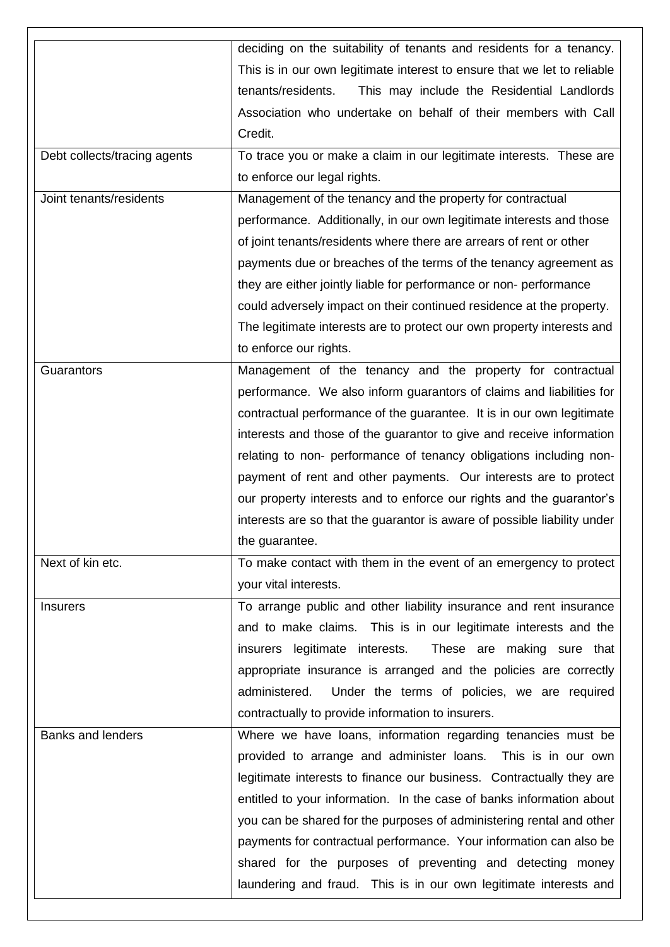|                              | deciding on the suitability of tenants and residents for a tenancy.      |  |  |  |  |  |  |
|------------------------------|--------------------------------------------------------------------------|--|--|--|--|--|--|
|                              | This is in our own legitimate interest to ensure that we let to reliable |  |  |  |  |  |  |
|                              | tenants/residents.<br>This may include the Residential Landlords         |  |  |  |  |  |  |
|                              | Association who undertake on behalf of their members with Call           |  |  |  |  |  |  |
|                              | Credit.                                                                  |  |  |  |  |  |  |
| Debt collects/tracing agents | To trace you or make a claim in our legitimate interests. These are      |  |  |  |  |  |  |
|                              | to enforce our legal rights.                                             |  |  |  |  |  |  |
| Joint tenants/residents      | Management of the tenancy and the property for contractual               |  |  |  |  |  |  |
|                              | performance. Additionally, in our own legitimate interests and those     |  |  |  |  |  |  |
|                              | of joint tenants/residents where there are arrears of rent or other      |  |  |  |  |  |  |
|                              | payments due or breaches of the terms of the tenancy agreement as        |  |  |  |  |  |  |
|                              | they are either jointly liable for performance or non- performance       |  |  |  |  |  |  |
|                              | could adversely impact on their continued residence at the property.     |  |  |  |  |  |  |
|                              | The legitimate interests are to protect our own property interests and   |  |  |  |  |  |  |
|                              | to enforce our rights.                                                   |  |  |  |  |  |  |
| Guarantors                   | Management of the tenancy and the property for contractual               |  |  |  |  |  |  |
|                              | performance. We also inform guarantors of claims and liabilities for     |  |  |  |  |  |  |
|                              | contractual performance of the guarantee. It is in our own legitimate    |  |  |  |  |  |  |
|                              | interests and those of the guarantor to give and receive information     |  |  |  |  |  |  |
|                              | relating to non- performance of tenancy obligations including non-       |  |  |  |  |  |  |
|                              | payment of rent and other payments. Our interests are to protect         |  |  |  |  |  |  |
|                              | our property interests and to enforce our rights and the guarantor's     |  |  |  |  |  |  |
|                              | interests are so that the guarantor is aware of possible liability under |  |  |  |  |  |  |
|                              | the guarantee.                                                           |  |  |  |  |  |  |
| Next of kin etc.             | To make contact with them in the event of an emergency to protect        |  |  |  |  |  |  |
|                              | your vital interests.                                                    |  |  |  |  |  |  |
| <b>Insurers</b>              | To arrange public and other liability insurance and rent insurance       |  |  |  |  |  |  |
|                              | and to make claims. This is in our legitimate interests and the          |  |  |  |  |  |  |
|                              | insurers legitimate interests.<br>These are making sure that             |  |  |  |  |  |  |
|                              | appropriate insurance is arranged and the policies are correctly         |  |  |  |  |  |  |
|                              | administered.<br>Under the terms of policies, we are required            |  |  |  |  |  |  |
|                              | contractually to provide information to insurers.                        |  |  |  |  |  |  |
| <b>Banks and lenders</b>     | Where we have loans, information regarding tenancies must be             |  |  |  |  |  |  |
|                              | provided to arrange and administer loans. This is in our own             |  |  |  |  |  |  |
|                              | legitimate interests to finance our business. Contractually they are     |  |  |  |  |  |  |
|                              | entitled to your information. In the case of banks information about     |  |  |  |  |  |  |
|                              | you can be shared for the purposes of administering rental and other     |  |  |  |  |  |  |
|                              | payments for contractual performance. Your information can also be       |  |  |  |  |  |  |
|                              | shared for the purposes of preventing and detecting money                |  |  |  |  |  |  |
|                              | laundering and fraud. This is in our own legitimate interests and        |  |  |  |  |  |  |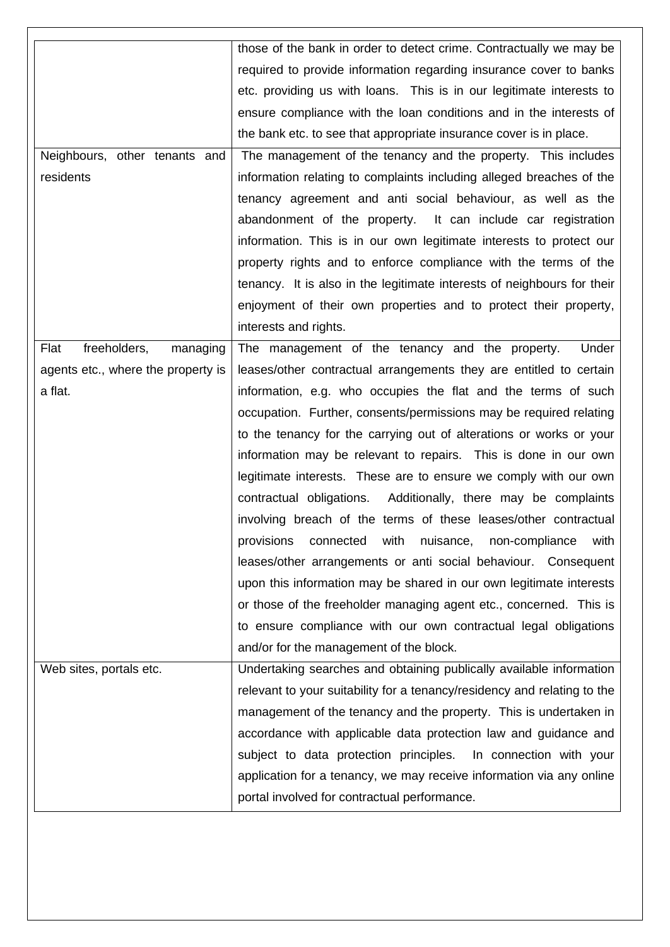|                                    | those of the bank in order to detect crime. Contractually we may be      |  |  |  |  |  |  |  |
|------------------------------------|--------------------------------------------------------------------------|--|--|--|--|--|--|--|
|                                    | required to provide information regarding insurance cover to banks       |  |  |  |  |  |  |  |
|                                    | etc. providing us with loans. This is in our legitimate interests to     |  |  |  |  |  |  |  |
|                                    | ensure compliance with the loan conditions and in the interests of       |  |  |  |  |  |  |  |
|                                    | the bank etc. to see that appropriate insurance cover is in place.       |  |  |  |  |  |  |  |
| Neighbours, other tenants and      | The management of the tenancy and the property. This includes            |  |  |  |  |  |  |  |
| residents                          | information relating to complaints including alleged breaches of the     |  |  |  |  |  |  |  |
|                                    | tenancy agreement and anti social behaviour, as well as the              |  |  |  |  |  |  |  |
|                                    | abandonment of the property. It can include car registration             |  |  |  |  |  |  |  |
|                                    | information. This is in our own legitimate interests to protect our      |  |  |  |  |  |  |  |
|                                    | property rights and to enforce compliance with the terms of the          |  |  |  |  |  |  |  |
|                                    | tenancy. It is also in the legitimate interests of neighbours for their  |  |  |  |  |  |  |  |
|                                    | enjoyment of their own properties and to protect their property,         |  |  |  |  |  |  |  |
|                                    | interests and rights.                                                    |  |  |  |  |  |  |  |
| freeholders,<br>Flat<br>managing   | The management of the tenancy and the property.<br>Under                 |  |  |  |  |  |  |  |
| agents etc., where the property is | leases/other contractual arrangements they are entitled to certain       |  |  |  |  |  |  |  |
| a flat.                            | information, e.g. who occupies the flat and the terms of such            |  |  |  |  |  |  |  |
|                                    | occupation. Further, consents/permissions may be required relating       |  |  |  |  |  |  |  |
|                                    | to the tenancy for the carrying out of alterations or works or your      |  |  |  |  |  |  |  |
|                                    | information may be relevant to repairs. This is done in our own          |  |  |  |  |  |  |  |
|                                    | legitimate interests. These are to ensure we comply with our own         |  |  |  |  |  |  |  |
|                                    | contractual obligations.<br>Additionally, there may be complaints        |  |  |  |  |  |  |  |
|                                    | involving breach of the terms of these leases/other contractual          |  |  |  |  |  |  |  |
|                                    | provisions connected with nuisance, non-compliance with                  |  |  |  |  |  |  |  |
|                                    | leases/other arrangements or anti social behaviour. Consequent           |  |  |  |  |  |  |  |
|                                    | upon this information may be shared in our own legitimate interests      |  |  |  |  |  |  |  |
|                                    | or those of the freeholder managing agent etc., concerned. This is       |  |  |  |  |  |  |  |
|                                    | to ensure compliance with our own contractual legal obligations          |  |  |  |  |  |  |  |
|                                    | and/or for the management of the block.                                  |  |  |  |  |  |  |  |
| Web sites, portals etc.            | Undertaking searches and obtaining publically available information      |  |  |  |  |  |  |  |
|                                    | relevant to your suitability for a tenancy/residency and relating to the |  |  |  |  |  |  |  |
|                                    | management of the tenancy and the property. This is undertaken in        |  |  |  |  |  |  |  |
|                                    | accordance with applicable data protection law and guidance and          |  |  |  |  |  |  |  |
|                                    | subject to data protection principles.<br>In connection with your        |  |  |  |  |  |  |  |
|                                    | application for a tenancy, we may receive information via any online     |  |  |  |  |  |  |  |
|                                    | portal involved for contractual performance.                             |  |  |  |  |  |  |  |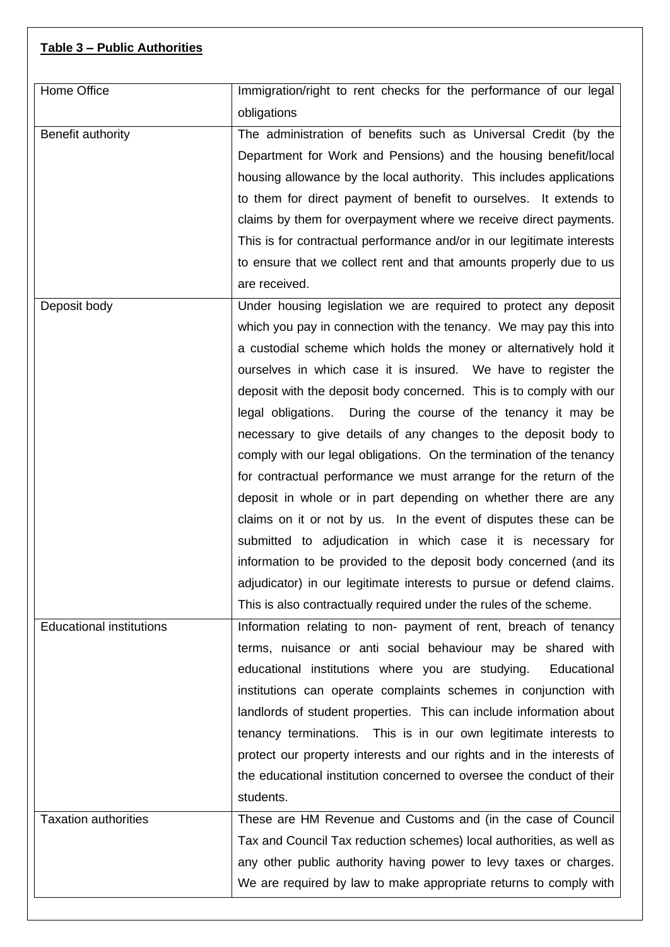## **Table 3 – Public Authorities**

| Home Office                     | Immigration/right to rent checks for the performance of our legal                                                                                                                                                                                                                                                                                                                                                                                                                                                                                                                                                                                                                                                                                                                                                                                                                                                                                                                                                                                             |  |  |  |  |  |
|---------------------------------|---------------------------------------------------------------------------------------------------------------------------------------------------------------------------------------------------------------------------------------------------------------------------------------------------------------------------------------------------------------------------------------------------------------------------------------------------------------------------------------------------------------------------------------------------------------------------------------------------------------------------------------------------------------------------------------------------------------------------------------------------------------------------------------------------------------------------------------------------------------------------------------------------------------------------------------------------------------------------------------------------------------------------------------------------------------|--|--|--|--|--|
|                                 | obligations                                                                                                                                                                                                                                                                                                                                                                                                                                                                                                                                                                                                                                                                                                                                                                                                                                                                                                                                                                                                                                                   |  |  |  |  |  |
| Benefit authority               | The administration of benefits such as Universal Credit (by the<br>Department for Work and Pensions) and the housing benefit/local<br>housing allowance by the local authority. This includes applications<br>to them for direct payment of benefit to ourselves. It extends to<br>claims by them for overpayment where we receive direct payments.<br>This is for contractual performance and/or in our legitimate interests<br>to ensure that we collect rent and that amounts properly due to us                                                                                                                                                                                                                                                                                                                                                                                                                                                                                                                                                           |  |  |  |  |  |
|                                 | are received.                                                                                                                                                                                                                                                                                                                                                                                                                                                                                                                                                                                                                                                                                                                                                                                                                                                                                                                                                                                                                                                 |  |  |  |  |  |
| Deposit body                    | Under housing legislation we are required to protect any deposit<br>which you pay in connection with the tenancy. We may pay this into<br>a custodial scheme which holds the money or alternatively hold it<br>ourselves in which case it is insured. We have to register the<br>deposit with the deposit body concerned. This is to comply with our<br>legal obligations. During the course of the tenancy it may be<br>necessary to give details of any changes to the deposit body to<br>comply with our legal obligations. On the termination of the tenancy<br>for contractual performance we must arrange for the return of the<br>deposit in whole or in part depending on whether there are any<br>claims on it or not by us. In the event of disputes these can be<br>submitted to adjudication in which case it is necessary for<br>information to be provided to the deposit body concerned (and its<br>adjudicator) in our legitimate interests to pursue or defend claims.<br>This is also contractually required under the rules of the scheme. |  |  |  |  |  |
| <b>Educational institutions</b> | Information relating to non- payment of rent, breach of tenancy                                                                                                                                                                                                                                                                                                                                                                                                                                                                                                                                                                                                                                                                                                                                                                                                                                                                                                                                                                                               |  |  |  |  |  |
|                                 | terms, nuisance or anti social behaviour may be shared with<br>educational institutions where you are studying.<br>Educational<br>institutions can operate complaints schemes in conjunction with<br>landlords of student properties. This can include information about<br>tenancy terminations. This is in our own legitimate interests to<br>protect our property interests and our rights and in the interests of<br>the educational institution concerned to oversee the conduct of their<br>students.                                                                                                                                                                                                                                                                                                                                                                                                                                                                                                                                                   |  |  |  |  |  |
| <b>Taxation authorities</b>     | These are HM Revenue and Customs and (in the case of Council                                                                                                                                                                                                                                                                                                                                                                                                                                                                                                                                                                                                                                                                                                                                                                                                                                                                                                                                                                                                  |  |  |  |  |  |
|                                 | Tax and Council Tax reduction schemes) local authorities, as well as<br>any other public authority having power to levy taxes or charges.<br>We are required by law to make appropriate returns to comply with                                                                                                                                                                                                                                                                                                                                                                                                                                                                                                                                                                                                                                                                                                                                                                                                                                                |  |  |  |  |  |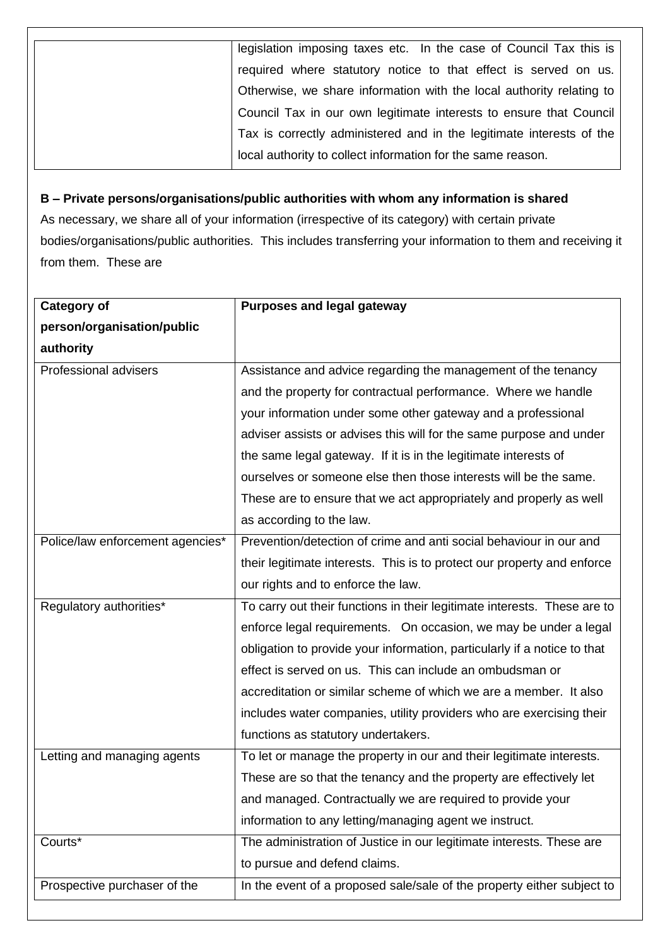| legislation imposing taxes etc. In the case of Council Tax this is   |  |  |  |  |  |
|----------------------------------------------------------------------|--|--|--|--|--|
| required where statutory notice to that effect is served on us.      |  |  |  |  |  |
| Otherwise, we share information with the local authority relating to |  |  |  |  |  |
| Council Tax in our own legitimate interests to ensure that Council   |  |  |  |  |  |
| Tax is correctly administered and in the legitimate interests of the |  |  |  |  |  |
| local authority to collect information for the same reason.          |  |  |  |  |  |

# **B – Private persons/organisations/public authorities with whom any information is shared**

As necessary, we share all of your information (irrespective of its category) with certain private bodies/organisations/public authorities. This includes transferring your information to them and receiving it from them. These are

| <b>Category of</b>               | <b>Purposes and legal gateway</b>                                        |  |  |  |  |  |
|----------------------------------|--------------------------------------------------------------------------|--|--|--|--|--|
| person/organisation/public       |                                                                          |  |  |  |  |  |
| authority                        |                                                                          |  |  |  |  |  |
| Professional advisers            | Assistance and advice regarding the management of the tenancy            |  |  |  |  |  |
|                                  | and the property for contractual performance. Where we handle            |  |  |  |  |  |
|                                  | your information under some other gateway and a professional             |  |  |  |  |  |
|                                  | adviser assists or advises this will for the same purpose and under      |  |  |  |  |  |
|                                  | the same legal gateway. If it is in the legitimate interests of          |  |  |  |  |  |
|                                  | ourselves or someone else then those interests will be the same.         |  |  |  |  |  |
|                                  | These are to ensure that we act appropriately and properly as well       |  |  |  |  |  |
|                                  | as according to the law.                                                 |  |  |  |  |  |
| Police/law enforcement agencies* | Prevention/detection of crime and anti social behaviour in our and       |  |  |  |  |  |
|                                  | their legitimate interests. This is to protect our property and enforce  |  |  |  |  |  |
|                                  | our rights and to enforce the law.                                       |  |  |  |  |  |
| Regulatory authorities*          | To carry out their functions in their legitimate interests. These are to |  |  |  |  |  |
|                                  | enforce legal requirements. On occasion, we may be under a legal         |  |  |  |  |  |
|                                  | obligation to provide your information, particularly if a notice to that |  |  |  |  |  |
|                                  | effect is served on us. This can include an ombudsman or                 |  |  |  |  |  |
|                                  | accreditation or similar scheme of which we are a member. It also        |  |  |  |  |  |
|                                  | includes water companies, utility providers who are exercising their     |  |  |  |  |  |
|                                  | functions as statutory undertakers.                                      |  |  |  |  |  |
| Letting and managing agents      | To let or manage the property in our and their legitimate interests.     |  |  |  |  |  |
|                                  | These are so that the tenancy and the property are effectively let       |  |  |  |  |  |
|                                  | and managed. Contractually we are required to provide your               |  |  |  |  |  |
|                                  | information to any letting/managing agent we instruct.                   |  |  |  |  |  |
| Courts*                          | The administration of Justice in our legitimate interests. These are     |  |  |  |  |  |
|                                  | to pursue and defend claims.                                             |  |  |  |  |  |
| Prospective purchaser of the     | In the event of a proposed sale/sale of the property either subject to   |  |  |  |  |  |